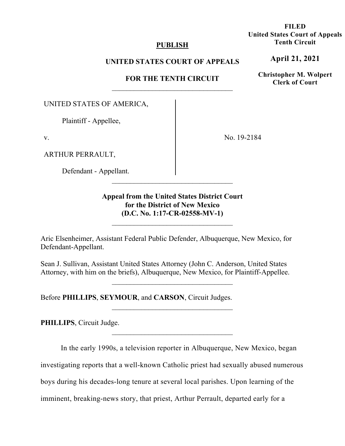### **PUBLISH**

### **UNITED STATES COURT OF APPEALS**

### **FOR THE TENTH CIRCUIT**

UNITED STATES OF AMERICA,

Plaintiff - Appellee,

v.

ARTHUR PERRAULT,

Defendant - Appellant.

No. 19-2184

**Appeal from the United States District Court for the District of New Mexico (D.C. No. 1:17-CR-02558-MV-1)**

Aric Elsenheimer, Assistant Federal Public Defender, Albuquerque, New Mexico, for Defendant-Appellant.

Sean J. Sullivan, Assistant United States Attorney (John C. Anderson, United States Attorney, with him on the briefs), Albuquerque, New Mexico, for Plaintiff-Appellee.

\_\_\_\_\_\_\_\_\_\_\_\_\_\_\_\_\_\_\_\_\_\_\_\_\_\_\_\_\_\_\_\_\_

Before **PHILLIPS**, **SEYMOUR**, and **CARSON**, Circuit Judges.

**PHILLIPS**, Circuit Judge.

In the early 1990s, a television reporter in Albuquerque, New Mexico, began

investigating reports that a well-known Catholic priest had sexually abused numerous

boys during his decades-long tenure at several local parishes. Upon learning of the

imminent, breaking-news story, that priest, Arthur Perrault, departed early for a

**FILED United States Court of Appeals Tenth Circuit** 

**April 21, 2021**

**Christopher M. Wolpert Clerk of Court**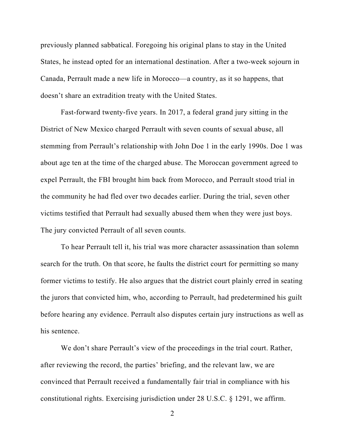previously planned sabbatical. Foregoing his original plans to stay in the United States, he instead opted for an international destination. After a two-week sojourn in Canada, Perrault made a new life in Morocco—a country, as it so happens, that doesn't share an extradition treaty with the United States.

Fast-forward twenty-five years. In 2017, a federal grand jury sitting in the District of New Mexico charged Perrault with seven counts of sexual abuse, all stemming from Perrault's relationship with John Doe 1 in the early 1990s. Doe 1 was about age ten at the time of the charged abuse. The Moroccan government agreed to expel Perrault, the FBI brought him back from Morocco, and Perrault stood trial in the community he had fled over two decades earlier. During the trial, seven other victims testified that Perrault had sexually abused them when they were just boys. The jury convicted Perrault of all seven counts.

To hear Perrault tell it, his trial was more character assassination than solemn search for the truth. On that score, he faults the district court for permitting so many former victims to testify. He also argues that the district court plainly erred in seating the jurors that convicted him, who, according to Perrault, had predetermined his guilt before hearing any evidence. Perrault also disputes certain jury instructions as well as his sentence.

We don't share Perrault's view of the proceedings in the trial court. Rather, after reviewing the record, the parties' briefing, and the relevant law, we are convinced that Perrault received a fundamentally fair trial in compliance with his constitutional rights. Exercising jurisdiction under 28 U.S.C. § 1291, we affirm.

<sup>2</sup>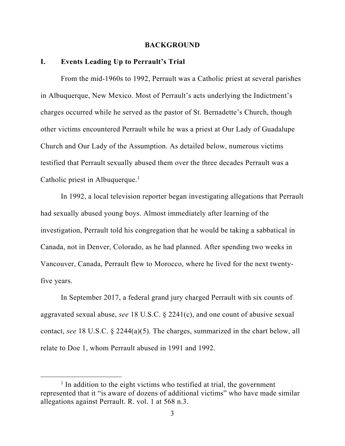#### **BACKGROUND**

#### **I. Events Leading Up to Perrault's Trial**

From the mid-1960s to 1992, Perrault was a Catholic priest at several parishes in Albuquerque, New Mexico. Most of Perrault's acts underlying the Indictment's charges occurred while he served as the pastor of St. Bernadette's Church, though other victims encountered Perrault while he was a priest at Our Lady of Guadalupe Church and Our Lady of the Assumption. As detailed below, numerous victims testified that Perrault sexually abused them over the three decades Perrault was a Catholic priest in Albuquerque.<sup>1</sup>

In 1992, a local television reporter began investigating allegations that Perrault had sexually abused young boys. Almost immediately after learning of the investigation, Perrault told his congregation that he would be taking a sabbatical in Canada, not in Denver, Colorado, as he had planned. After spending two weeks in Vancouver, Canada, Perrault flew to Morocco, where he lived for the next twentyfive years.

In September 2017, a federal grand jury charged Perrault with six counts of aggravated sexual abuse, *see* 18 U.S.C. § 2241(c), and one count of abusive sexual contact, *see* 18 U.S.C. § 2244(a)(5). The charges, summarized in the chart below, all relate to Doe 1, whom Perrault abused in 1991 and 1992.

<sup>&</sup>lt;sup>1</sup> In addition to the eight victims who testified at trial, the government represented that it "is aware of dozens of additional victims" who have made similar allegations against Perrault. R. vol. 1 at 568 n.3.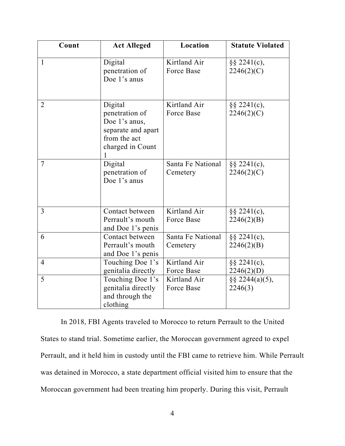| Count          | <b>Act Alleged</b>                                                                                   | Location                          | <b>Statute Violated</b>       |
|----------------|------------------------------------------------------------------------------------------------------|-----------------------------------|-------------------------------|
| $\mathbf{1}$   | Digital<br>penetration of<br>Doe 1's anus                                                            | Kirtland Air<br><b>Force Base</b> | $\S$ § 2241(c),<br>2246(2)(C) |
| $\overline{2}$ | Digital<br>penetration of<br>Doe 1's anus,<br>separate and apart<br>from the act<br>charged in Count | Kirtland Air<br>Force Base        | $\S$ § 2241(c),<br>2246(2)(C) |
| 7              | Digital<br>penetration of<br>Doe 1's anus                                                            | Santa Fe National<br>Cemetery     | $\S\S 2241(c),$<br>2246(2)(C) |
| 3              | Contact between<br>Perrault's mouth<br>and Doe 1's penis                                             | Kirtland Air<br>Force Base        | $\S$ § 2241(c),<br>2246(2)(B) |
| 6              | Contact between<br>Perrault's mouth<br>and Doe 1's penis                                             | Santa Fe National<br>Cemetery     | $\S\S 2241(c),$<br>2246(2)(B) |
| $\overline{4}$ | Touching Doe 1's<br>genitalia directly                                                               | Kirtland Air<br>Force Base        | $\S$ § 2241(c),<br>2246(2)(D) |
| 5              | Touching Doe 1's<br>genitalia directly<br>and through the<br>clothing                                | Kirtland Air<br>Force Base        | $\S$ § 2244(a)(5),<br>2246(3) |

In 2018, FBI Agents traveled to Morocco to return Perrault to the United States to stand trial. Sometime earlier, the Moroccan government agreed to expel Perrault, and it held him in custody until the FBI came to retrieve him. While Perrault was detained in Morocco, a state department official visited him to ensure that the Moroccan government had been treating him properly. During this visit, Perrault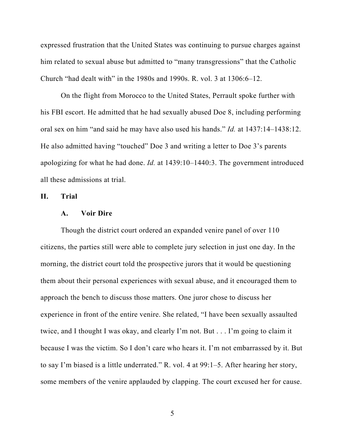expressed frustration that the United States was continuing to pursue charges against him related to sexual abuse but admitted to "many transgressions" that the Catholic Church "had dealt with" in the 1980s and 1990s. R. vol. 3 at 1306:6–12.

On the flight from Morocco to the United States, Perrault spoke further with his FBI escort. He admitted that he had sexually abused Doe 8, including performing oral sex on him "and said he may have also used his hands." *Id.* at 1437:14–1438:12. He also admitted having "touched" Doe 3 and writing a letter to Doe 3's parents apologizing for what he had done. *Id.* at 1439:10–1440:3. The government introduced all these admissions at trial.

**II. Trial** 

#### **A. Voir Dire**

Though the district court ordered an expanded venire panel of over 110 citizens, the parties still were able to complete jury selection in just one day. In the morning, the district court told the prospective jurors that it would be questioning them about their personal experiences with sexual abuse, and it encouraged them to approach the bench to discuss those matters. One juror chose to discuss her experience in front of the entire venire. She related, "I have been sexually assaulted twice, and I thought I was okay, and clearly I'm not. But . . . I'm going to claim it because I was the victim. So I don't care who hears it. I'm not embarrassed by it. But to say I'm biased is a little underrated." R. vol. 4 at 99:1–5. After hearing her story, some members of the venire applauded by clapping. The court excused her for cause.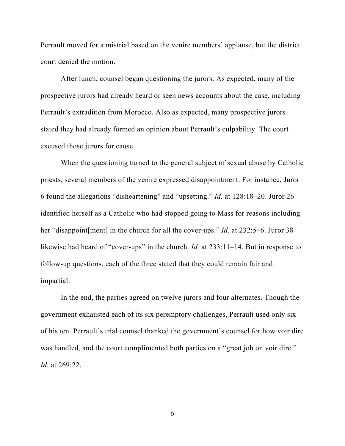Perrault moved for a mistrial based on the venire members' applause, but the district court denied the motion.

After lunch, counsel began questioning the jurors. As expected, many of the prospective jurors had already heard or seen news accounts about the case, including Perrault's extradition from Morocco. Also as expected, many prospective jurors stated they had already formed an opinion about Perrault's culpability. The court excused those jurors for cause.

When the questioning turned to the general subject of sexual abuse by Catholic priests, several members of the venire expressed disappointment. For instance, Juror 6 found the allegations "disheartening" and "upsetting." *Id.* at 128:18–20. Juror 26 identified herself as a Catholic who had stopped going to Mass for reasons including her "disappoint[ment] in the church for all the cover-ups." *Id.* at 232:5–6. Juror 38 likewise had heard of "cover-ups" in the church. *Id.* at 233:11–14. But in response to follow-up questions, each of the three stated that they could remain fair and impartial.

In the end, the parties agreed on twelve jurors and four alternates. Though the government exhausted each of its six peremptory challenges, Perrault used only six of his ten. Perrault's trial counsel thanked the government's counsel for how voir dire was handled, and the court complimented both parties on a "great job on voir dire." *Id.* at 269:22.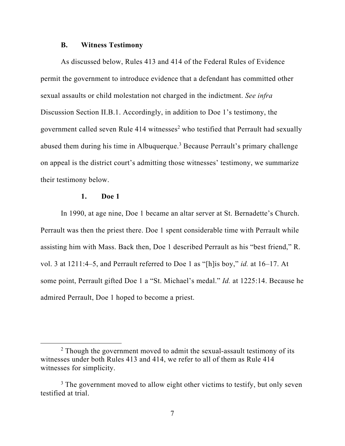#### **B. Witness Testimony**

As discussed below, Rules 413 and 414 of the Federal Rules of Evidence permit the government to introduce evidence that a defendant has committed other sexual assaults or child molestation not charged in the indictment. *See infra*  Discussion Section II.B.1. Accordingly, in addition to Doe 1's testimony, the government called seven Rule  $414$  witnesses<sup>2</sup> who testified that Perrault had sexually abused them during his time in Albuquerque.<sup>3</sup> Because Perrault's primary challenge on appeal is the district court's admitting those witnesses' testimony, we summarize their testimony below.

### **1. Doe 1**

In 1990, at age nine, Doe 1 became an altar server at St. Bernadette's Church. Perrault was then the priest there. Doe 1 spent considerable time with Perrault while assisting him with Mass. Back then, Doe 1 described Perrault as his "best friend," R. vol. 3 at 1211:4–5, and Perrault referred to Doe 1 as "[h]is boy," *id.* at 16–17. At some point, Perrault gifted Doe 1 a "St. Michael's medal." *Id.* at 1225:14. Because he admired Perrault, Doe 1 hoped to become a priest.

 $2$  Though the government moved to admit the sexual-assault testimony of its witnesses under both Rules 413 and 414, we refer to all of them as Rule 414 witnesses for simplicity.

<sup>&</sup>lt;sup>3</sup> The government moved to allow eight other victims to testify, but only seven testified at trial.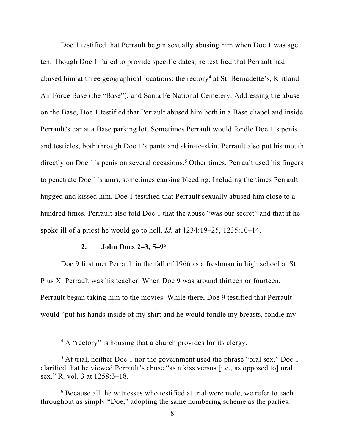Doe 1 testified that Perrault began sexually abusing him when Doe 1 was age ten. Though Doe 1 failed to provide specific dates, he testified that Perrault had abused him at three geographical locations: the rectory<sup>4</sup> at St. Bernadette's, Kirtland Air Force Base (the "Base"), and Santa Fe National Cemetery. Addressing the abuse on the Base, Doe 1 testified that Perrault abused him both in a Base chapel and inside Perrault's car at a Base parking lot. Sometimes Perrault would fondle Doe 1's penis and testicles, both through Doe 1's pants and skin-to-skin. Perrault also put his mouth directly on Doe 1's penis on several occasions.<sup>5</sup> Other times, Perrault used his fingers to penetrate Doe 1's anus, sometimes causing bleeding. Including the times Perrault hugged and kissed him, Doe 1 testified that Perrault sexually abused him close to a hundred times. Perrault also told Doe 1 that the abuse "was our secret" and that if he spoke ill of a priest he would go to hell. *Id.* at 1234:19–25, 1235:10–14.

#### **2. John Does 2–3, 5–9**<sup>6</sup>

Doe 9 first met Perrault in the fall of 1966 as a freshman in high school at St. Pius X. Perrault was his teacher. When Doe 9 was around thirteen or fourteen, Perrault began taking him to the movies. While there, Doe 9 testified that Perrault would "put his hands inside of my shirt and he would fondle my breasts, fondle my

<sup>&</sup>lt;sup>4</sup> A "rectory" is housing that a church provides for its clergy.

<sup>&</sup>lt;sup>5</sup> At trial, neither Doe 1 nor the government used the phrase "oral sex." Doe 1 clarified that he viewed Perrault's abuse "as a kiss versus [i.e., as opposed to] oral sex." R. vol. 3 at 1258:3–18.

<sup>&</sup>lt;sup>6</sup> Because all the witnesses who testified at trial were male, we refer to each throughout as simply "Doe," adopting the same numbering scheme as the parties.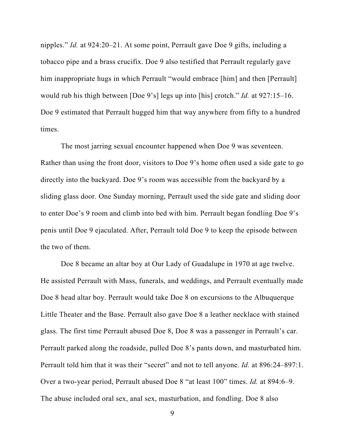nipples." *Id.* at 924:20–21. At some point, Perrault gave Doe 9 gifts, including a tobacco pipe and a brass crucifix. Doe 9 also testified that Perrault regularly gave him inappropriate hugs in which Perrault "would embrace [him] and then [Perrault] would rub his thigh between [Doe 9's] legs up into [his] crotch." *Id.* at 927:15–16. Doe 9 estimated that Perrault hugged him that way anywhere from fifty to a hundred times.

The most jarring sexual encounter happened when Doe 9 was seventeen. Rather than using the front door, visitors to Doe 9's home often used a side gate to go directly into the backyard. Doe 9's room was accessible from the backyard by a sliding glass door. One Sunday morning, Perrault used the side gate and sliding door to enter Doe's 9 room and climb into bed with him. Perrault began fondling Doe 9's penis until Doe 9 ejaculated. After, Perrault told Doe 9 to keep the episode between the two of them.

Doe 8 became an altar boy at Our Lady of Guadalupe in 1970 at age twelve. He assisted Perrault with Mass, funerals, and weddings, and Perrault eventually made Doe 8 head altar boy. Perrault would take Doe 8 on excursions to the Albuquerque Little Theater and the Base. Perrault also gave Doe 8 a leather necklace with stained glass. The first time Perrault abused Doe 8, Doe 8 was a passenger in Perrault's car. Perrault parked along the roadside, pulled Doe 8's pants down, and masturbated him. Perrault told him that it was their "secret" and not to tell anyone. *Id.* at 896:24–897:1. Over a two-year period, Perrault abused Doe 8 "at least 100" times. *Id.* at 894:6–9. The abuse included oral sex, anal sex, masturbation, and fondling. Doe 8 also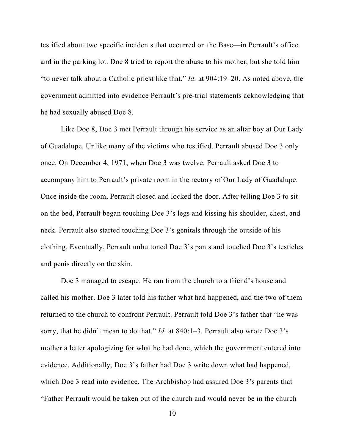testified about two specific incidents that occurred on the Base—in Perrault's office and in the parking lot. Doe 8 tried to report the abuse to his mother, but she told him "to never talk about a Catholic priest like that." *Id.* at 904:19–20. As noted above, the government admitted into evidence Perrault's pre-trial statements acknowledging that he had sexually abused Doe 8.

Like Doe 8, Doe 3 met Perrault through his service as an altar boy at Our Lady of Guadalupe. Unlike many of the victims who testified, Perrault abused Doe 3 only once. On December 4, 1971, when Doe 3 was twelve, Perrault asked Doe 3 to accompany him to Perrault's private room in the rectory of Our Lady of Guadalupe. Once inside the room, Perrault closed and locked the door. After telling Doe 3 to sit on the bed, Perrault began touching Doe 3's legs and kissing his shoulder, chest, and neck. Perrault also started touching Doe 3's genitals through the outside of his clothing. Eventually, Perrault unbuttoned Doe 3's pants and touched Doe 3's testicles and penis directly on the skin.

Doe 3 managed to escape. He ran from the church to a friend's house and called his mother. Doe 3 later told his father what had happened, and the two of them returned to the church to confront Perrault. Perrault told Doe 3's father that "he was sorry, that he didn't mean to do that." *Id.* at 840:1–3. Perrault also wrote Doe 3's mother a letter apologizing for what he had done, which the government entered into evidence. Additionally, Doe 3's father had Doe 3 write down what had happened, which Doe 3 read into evidence. The Archbishop had assured Doe 3's parents that "Father Perrault would be taken out of the church and would never be in the church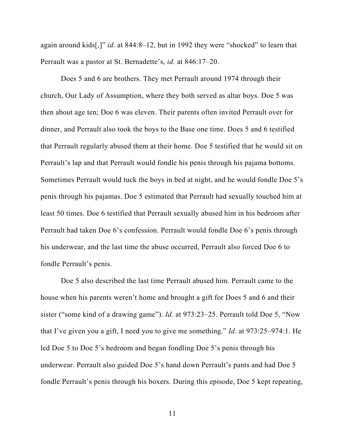again around kids[,]" *id.* at 844:8–12, but in 1992 they were "shocked" to learn that Perrault was a pastor at St. Bernadette's, *id.* at 846:17–20.

Does 5 and 6 are brothers. They met Perrault around 1974 through their church, Our Lady of Assumption, where they both served as altar boys. Doe 5 was then about age ten; Doe 6 was eleven. Their parents often invited Perrault over for dinner, and Perrault also took the boys to the Base one time. Does 5 and 6 testified that Perrault regularly abused them at their home. Doe 5 testified that he would sit on Perrault's lap and that Perrault would fondle his penis through his pajama bottoms. Sometimes Perrault would tuck the boys in bed at night, and he would fondle Doe 5's penis through his pajamas. Doe 5 estimated that Perrault had sexually touched him at least 50 times. Doe 6 testified that Perrault sexually abused him in his bedroom after Perrault had taken Doe 6's confession. Perrault would fondle Doe 6's penis through his underwear, and the last time the abuse occurred, Perrault also forced Doe 6 to fondle Perrault's penis.

Doe 5 also described the last time Perrault abused him. Perrault came to the house when his parents weren't home and brought a gift for Does 5 and 6 and their sister ("some kind of a drawing game"). *Id.* at 973:23–25. Perrault told Doe 5, "Now that I've given you a gift, I need you to give me something." *Id.* at 973:25–974:1. He led Doe 5 to Doe 5's bedroom and began fondling Doe 5's penis through his underwear. Perrault also guided Doe 5's hand down Perrault's pants and had Doe 5 fondle Perrault's penis through his boxers. During this episode, Doe 5 kept repeating,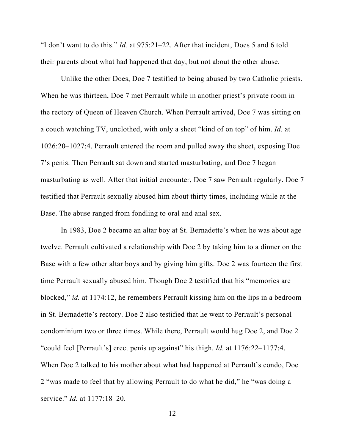"I don't want to do this." *Id.* at 975:21–22. After that incident, Does 5 and 6 told their parents about what had happened that day, but not about the other abuse.

Unlike the other Does, Doe 7 testified to being abused by two Catholic priests. When he was thirteen, Doe 7 met Perrault while in another priest's private room in the rectory of Queen of Heaven Church. When Perrault arrived, Doe 7 was sitting on a couch watching TV, unclothed, with only a sheet "kind of on top" of him. *Id.* at 1026:20–1027:4. Perrault entered the room and pulled away the sheet, exposing Doe 7's penis. Then Perrault sat down and started masturbating, and Doe 7 began masturbating as well. After that initial encounter, Doe 7 saw Perrault regularly. Doe 7 testified that Perrault sexually abused him about thirty times, including while at the Base. The abuse ranged from fondling to oral and anal sex.

In 1983, Doe 2 became an altar boy at St. Bernadette's when he was about age twelve. Perrault cultivated a relationship with Doe 2 by taking him to a dinner on the Base with a few other altar boys and by giving him gifts. Doe 2 was fourteen the first time Perrault sexually abused him. Though Doe 2 testified that his "memories are blocked," *id.* at 1174:12, he remembers Perrault kissing him on the lips in a bedroom in St. Bernadette's rectory. Doe 2 also testified that he went to Perrault's personal condominium two or three times. While there, Perrault would hug Doe 2, and Doe 2 "could feel [Perrault's] erect penis up against" his thigh. *Id.* at 1176:22–1177:4. When Doe 2 talked to his mother about what had happened at Perrault's condo, Doe 2 "was made to feel that by allowing Perrault to do what he did," he "was doing a service." *Id.* at 1177:18–20.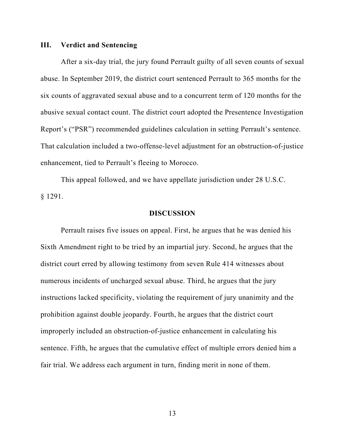#### **III. Verdict and Sentencing**

After a six-day trial, the jury found Perrault guilty of all seven counts of sexual abuse. In September 2019, the district court sentenced Perrault to 365 months for the six counts of aggravated sexual abuse and to a concurrent term of 120 months for the abusive sexual contact count. The district court adopted the Presentence Investigation Report's ("PSR") recommended guidelines calculation in setting Perrault's sentence. That calculation included a two-offense-level adjustment for an obstruction-of-justice enhancement, tied to Perrault's fleeing to Morocco.

This appeal followed, and we have appellate jurisdiction under 28 U.S.C. § 1291.

#### **DISCUSSION**

Perrault raises five issues on appeal. First, he argues that he was denied his Sixth Amendment right to be tried by an impartial jury. Second, he argues that the district court erred by allowing testimony from seven Rule 414 witnesses about numerous incidents of uncharged sexual abuse. Third, he argues that the jury instructions lacked specificity, violating the requirement of jury unanimity and the prohibition against double jeopardy. Fourth, he argues that the district court improperly included an obstruction-of-justice enhancement in calculating his sentence. Fifth, he argues that the cumulative effect of multiple errors denied him a fair trial. We address each argument in turn, finding merit in none of them.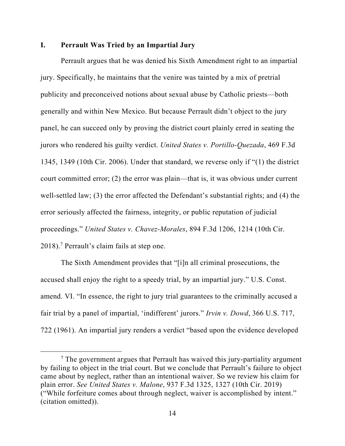### **I. Perrault Was Tried by an Impartial Jury**

Perrault argues that he was denied his Sixth Amendment right to an impartial jury. Specifically, he maintains that the venire was tainted by a mix of pretrial publicity and preconceived notions about sexual abuse by Catholic priests—both generally and within New Mexico. But because Perrault didn't object to the jury panel, he can succeed only by proving the district court plainly erred in seating the jurors who rendered his guilty verdict. *United States v. Portillo-Quezada*, 469 F.3d 1345, 1349 (10th Cir. 2006). Under that standard, we reverse only if "(1) the district court committed error; (2) the error was plain—that is, it was obvious under current well-settled law; (3) the error affected the Defendant's substantial rights; and (4) the error seriously affected the fairness, integrity, or public reputation of judicial proceedings." *United States v. Chavez-Morales*, 894 F.3d 1206, 1214 (10th Cir. 2018).7 Perrault's claim fails at step one.

The Sixth Amendment provides that "[i]n all criminal prosecutions, the accused shall enjoy the right to a speedy trial, by an impartial jury." U.S. Const. amend. VI. "In essence, the right to jury trial guarantees to the criminally accused a fair trial by a panel of impartial, 'indifferent' jurors." *Irvin v. Dowd*, 366 U.S. 717, 722 (1961). An impartial jury renders a verdict "based upon the evidence developed

 $7$  The government argues that Perrault has waived this jury-partiality argument by failing to object in the trial court. But we conclude that Perrault's failure to object came about by neglect, rather than an intentional waiver. So we review his claim for plain error. *See United States v. Malone*, 937 F.3d 1325, 1327 (10th Cir. 2019) ("While forfeiture comes about through neglect, waiver is accomplished by intent." (citation omitted)).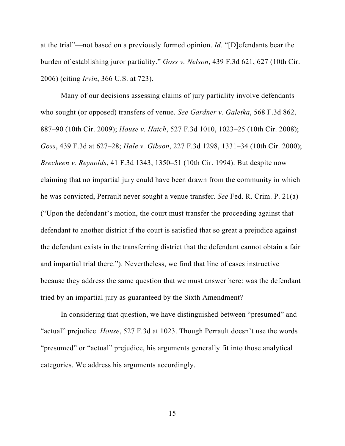at the trial"—not based on a previously formed opinion. *Id.* "[D]efendants bear the burden of establishing juror partiality." *Goss v. Nelson*, 439 F.3d 621, 627 (10th Cir. 2006) (citing *Irvin*, 366 U.S. at 723).

Many of our decisions assessing claims of jury partiality involve defendants who sought (or opposed) transfers of venue. *See Gardner v. Galetka*, 568 F.3d 862, 887–90 (10th Cir. 2009); *House v. Hatch*, 527 F.3d 1010, 1023–25 (10th Cir. 2008); *Goss*, 439 F.3d at 627–28; *Hale v. Gibson*, 227 F.3d 1298, 1331–34 (10th Cir. 2000); *Brecheen v. Reynolds*, 41 F.3d 1343, 1350–51 (10th Cir. 1994). But despite now claiming that no impartial jury could have been drawn from the community in which he was convicted, Perrault never sought a venue transfer. *See* Fed. R. Crim. P. 21(a) ("Upon the defendant's motion, the court must transfer the proceeding against that defendant to another district if the court is satisfied that so great a prejudice against the defendant exists in the transferring district that the defendant cannot obtain a fair and impartial trial there."). Nevertheless, we find that line of cases instructive because they address the same question that we must answer here: was the defendant tried by an impartial jury as guaranteed by the Sixth Amendment?

In considering that question, we have distinguished between "presumed" and "actual" prejudice. *House*, 527 F.3d at 1023. Though Perrault doesn't use the words "presumed" or "actual" prejudice, his arguments generally fit into those analytical categories. We address his arguments accordingly.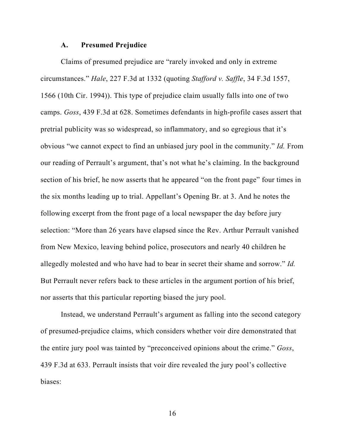#### **A. Presumed Prejudice**

Claims of presumed prejudice are "rarely invoked and only in extreme circumstances." *Hale*, 227 F.3d at 1332 (quoting *Stafford v. Saffle*, 34 F.3d 1557, 1566 (10th Cir. 1994)). This type of prejudice claim usually falls into one of two camps. *Goss*, 439 F.3d at 628. Sometimes defendants in high-profile cases assert that pretrial publicity was so widespread, so inflammatory, and so egregious that it's obvious "we cannot expect to find an unbiased jury pool in the community." *Id.* From our reading of Perrault's argument, that's not what he's claiming. In the background section of his brief, he now asserts that he appeared "on the front page" four times in the six months leading up to trial. Appellant's Opening Br. at 3. And he notes the following excerpt from the front page of a local newspaper the day before jury selection: "More than 26 years have elapsed since the Rev. Arthur Perrault vanished from New Mexico, leaving behind police, prosecutors and nearly 40 children he allegedly molested and who have had to bear in secret their shame and sorrow." *Id.* But Perrault never refers back to these articles in the argument portion of his brief, nor asserts that this particular reporting biased the jury pool.

Instead, we understand Perrault's argument as falling into the second category of presumed-prejudice claims, which considers whether voir dire demonstrated that the entire jury pool was tainted by "preconceived opinions about the crime." *Goss*, 439 F.3d at 633. Perrault insists that voir dire revealed the jury pool's collective biases: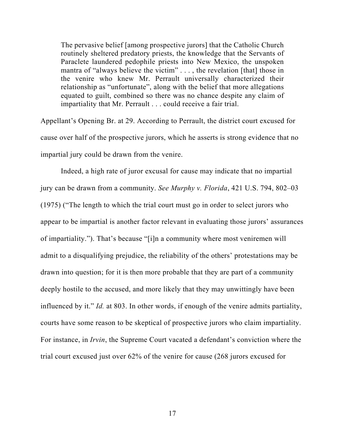The pervasive belief [among prospective jurors] that the Catholic Church routinely sheltered predatory priests, the knowledge that the Servants of Paraclete laundered pedophile priests into New Mexico, the unspoken mantra of "always believe the victim" . . . , the revelation [that] those in the venire who knew Mr. Perrault universally characterized their relationship as "unfortunate", along with the belief that more allegations equated to guilt, combined so there was no chance despite any claim of impartiality that Mr. Perrault . . . could receive a fair trial.

Appellant's Opening Br. at 29. According to Perrault, the district court excused for cause over half of the prospective jurors, which he asserts is strong evidence that no impartial jury could be drawn from the venire.

Indeed, a high rate of juror excusal for cause may indicate that no impartial jury can be drawn from a community. *See Murphy v. Florida*, 421 U.S. 794, 802–03 (1975) ("The length to which the trial court must go in order to select jurors who appear to be impartial is another factor relevant in evaluating those jurors' assurances of impartiality."). That's because "[i]n a community where most veniremen will admit to a disqualifying prejudice, the reliability of the others' protestations may be drawn into question; for it is then more probable that they are part of a community deeply hostile to the accused, and more likely that they may unwittingly have been influenced by it." *Id.* at 803. In other words, if enough of the venire admits partiality, courts have some reason to be skeptical of prospective jurors who claim impartiality. For instance, in *Irvin*, the Supreme Court vacated a defendant's conviction where the trial court excused just over 62% of the venire for cause (268 jurors excused for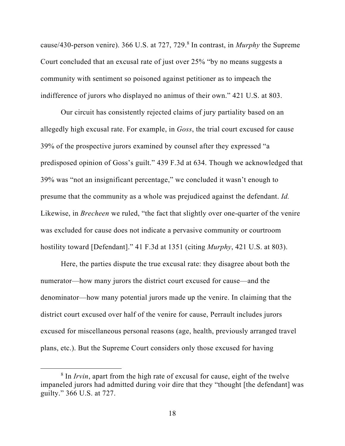cause/430-person venire). 366 U.S. at 727, 729.<sup>8</sup> In contrast, in *Murphy* the Supreme Court concluded that an excusal rate of just over 25% "by no means suggests a community with sentiment so poisoned against petitioner as to impeach the indifference of jurors who displayed no animus of their own." 421 U.S. at 803.

Our circuit has consistently rejected claims of jury partiality based on an allegedly high excusal rate. For example, in *Goss*, the trial court excused for cause 39% of the prospective jurors examined by counsel after they expressed "a predisposed opinion of Goss's guilt." 439 F.3d at 634. Though we acknowledged that 39% was "not an insignificant percentage," we concluded it wasn't enough to presume that the community as a whole was prejudiced against the defendant. *Id.* Likewise, in *Brecheen* we ruled, "the fact that slightly over one-quarter of the venire was excluded for cause does not indicate a pervasive community or courtroom hostility toward [Defendant]." 41 F.3d at 1351 (citing *Murphy*, 421 U.S. at 803).

Here, the parties dispute the true excusal rate: they disagree about both the numerator—how many jurors the district court excused for cause—and the denominator—how many potential jurors made up the venire. In claiming that the district court excused over half of the venire for cause, Perrault includes jurors excused for miscellaneous personal reasons (age, health, previously arranged travel plans, etc.). But the Supreme Court considers only those excused for having

<sup>&</sup>lt;sup>8</sup> In *Irvin*, apart from the high rate of excusal for cause, eight of the twelve impaneled jurors had admitted during voir dire that they "thought [the defendant] was guilty." 366 U.S. at 727.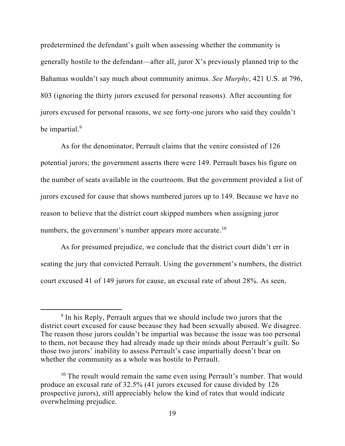predetermined the defendant's guilt when assessing whether the community is generally hostile to the defendant—after all, juror  $X$ 's previously planned trip to the Bahamas wouldn't say much about community animus. *See Murphy*, 421 U.S. at 796, 803 (ignoring the thirty jurors excused for personal reasons). After accounting for jurors excused for personal reasons, we see forty-one jurors who said they couldn't be impartial.<sup>9</sup>

As for the denominator, Perrault claims that the venire consisted of 126 potential jurors; the government asserts there were 149. Perrault bases his figure on the number of seats available in the courtroom. But the government provided a list of jurors excused for cause that shows numbered jurors up to 149. Because we have no reason to believe that the district court skipped numbers when assigning juror numbers, the government's number appears more accurate.<sup>10</sup>

As for presumed prejudice, we conclude that the district court didn't err in seating the jury that convicted Perrault. Using the government's numbers, the district court excused 41 of 149 jurors for cause, an excusal rate of about 28%. As seen,

<sup>&</sup>lt;sup>9</sup> In his Reply, Perrault argues that we should include two jurors that the district court excused for cause because they had been sexually abused. We disagree. The reason those jurors couldn't be impartial was because the issue was too personal to them, not because they had already made up their minds about Perrault's guilt. So those two jurors' inability to assess Perrault's case impartially doesn't bear on whether the community as a whole was hostile to Perrault.

 $10$  The result would remain the same even using Perrault's number. That would produce an excusal rate of 32.5% (41 jurors excused for cause divided by 126 prospective jurors), still appreciably below the kind of rates that would indicate overwhelming prejudice.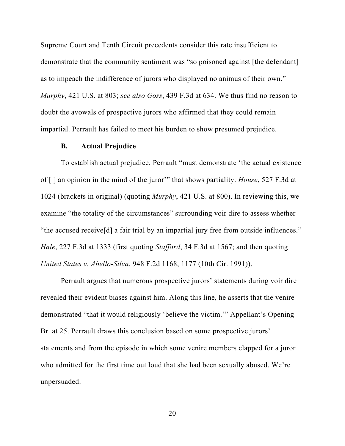Supreme Court and Tenth Circuit precedents consider this rate insufficient to demonstrate that the community sentiment was "so poisoned against [the defendant] as to impeach the indifference of jurors who displayed no animus of their own." *Murphy*, 421 U.S. at 803; *see also Goss*, 439 F.3d at 634. We thus find no reason to doubt the avowals of prospective jurors who affirmed that they could remain impartial. Perrault has failed to meet his burden to show presumed prejudice.

#### **B. Actual Prejudice**

To establish actual prejudice, Perrault "must demonstrate 'the actual existence of [ ] an opinion in the mind of the juror'" that shows partiality. *House*, 527 F.3d at 1024 (brackets in original) (quoting *Murphy*, 421 U.S. at 800). In reviewing this, we examine "the totality of the circumstances" surrounding voir dire to assess whether "the accused receive[d] a fair trial by an impartial jury free from outside influences." *Hale*, 227 F.3d at 1333 (first quoting *Stafford*, 34 F.3d at 1567; and then quoting *United States v. Abello-Silva*, 948 F.2d 1168, 1177 (10th Cir. 1991)).

Perrault argues that numerous prospective jurors' statements during voir dire revealed their evident biases against him. Along this line, he asserts that the venire demonstrated "that it would religiously 'believe the victim.'" Appellant's Opening Br. at 25. Perrault draws this conclusion based on some prospective jurors' statements and from the episode in which some venire members clapped for a juror who admitted for the first time out loud that she had been sexually abused. We're unpersuaded.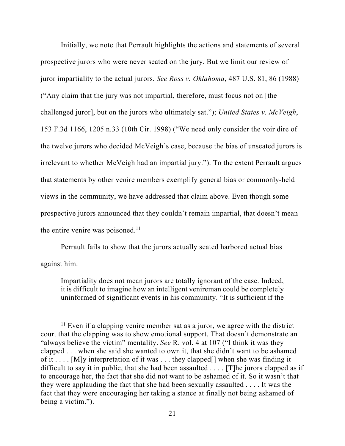Initially, we note that Perrault highlights the actions and statements of several prospective jurors who were never seated on the jury. But we limit our review of juror impartiality to the actual jurors. *See Ross v. Oklahoma*, 487 U.S. 81, 86 (1988) ("Any claim that the jury was not impartial, therefore, must focus not on [the challenged juror], but on the jurors who ultimately sat."); *United States v. McVeigh*, 153 F.3d 1166, 1205 n.33 (10th Cir. 1998) ("We need only consider the voir dire of the twelve jurors who decided McVeigh's case, because the bias of unseated jurors is irrelevant to whether McVeigh had an impartial jury."). To the extent Perrault argues that statements by other venire members exemplify general bias or commonly-held views in the community, we have addressed that claim above. Even though some prospective jurors announced that they couldn't remain impartial, that doesn't mean the entire venire was poisoned. $11$ 

Perrault fails to show that the jurors actually seated harbored actual bias against him.

Impartiality does not mean jurors are totally ignorant of the case. Indeed, it is difficult to imagine how an intelligent venireman could be completely uninformed of significant events in his community. "It is sufficient if the

 $11$  Even if a clapping venire member sat as a juror, we agree with the district court that the clapping was to show emotional support. That doesn't demonstrate an "always believe the victim" mentality. *See* R. vol. 4 at 107 ("I think it was they clapped . . . when she said she wanted to own it, that she didn't want to be ashamed of it . . . . [M]y interpretation of it was . . . they clapped[] when she was finding it difficult to say it in public, that she had been assaulted  $\dots$ . [T] he jurors clapped as if to encourage her, the fact that she did not want to be ashamed of it. So it wasn't that they were applauding the fact that she had been sexually assaulted . . . . It was the fact that they were encouraging her taking a stance at finally not being ashamed of being a victim.").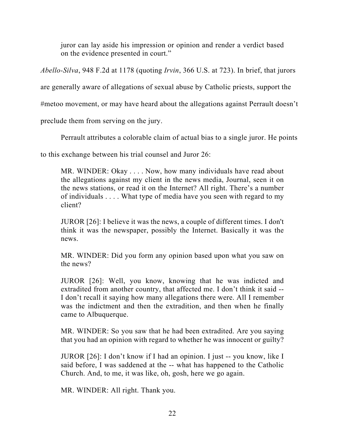juror can lay aside his impression or opinion and render a verdict based on the evidence presented in court."

*Abello-Silva*, 948 F.2d at 1178 (quoting *Irvin*, 366 U.S. at 723). In brief, that jurors

are generally aware of allegations of sexual abuse by Catholic priests, support the

#metoo movement, or may have heard about the allegations against Perrault doesn't

preclude them from serving on the jury.

Perrault attributes a colorable claim of actual bias to a single juror. He points

to this exchange between his trial counsel and Juror 26:

MR. WINDER: Okay . . . . Now, how many individuals have read about the allegations against my client in the news media, Journal, seen it on the news stations, or read it on the Internet? All right. There's a number of individuals . . . . What type of media have you seen with regard to my client?

JUROR [26]: I believe it was the news, a couple of different times. I don't think it was the newspaper, possibly the Internet. Basically it was the news.

MR. WINDER: Did you form any opinion based upon what you saw on the news?

JUROR [26]: Well, you know, knowing that he was indicted and extradited from another country, that affected me. I don't think it said -- I don't recall it saying how many allegations there were. All I remember was the indictment and then the extradition, and then when he finally came to Albuquerque.

MR. WINDER: So you saw that he had been extradited. Are you saying that you had an opinion with regard to whether he was innocent or guilty?

JUROR [26]: I don't know if I had an opinion. I just -- you know, like I said before, I was saddened at the -- what has happened to the Catholic Church. And, to me, it was like, oh, gosh, here we go again.

MR. WINDER: All right. Thank you.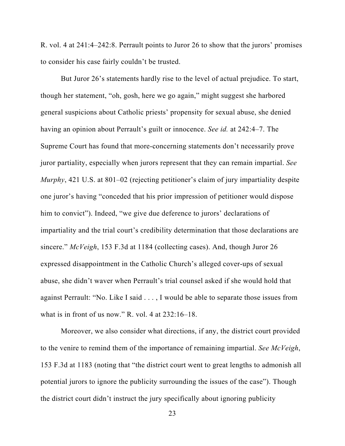R. vol. 4 at 241:4–242:8. Perrault points to Juror 26 to show that the jurors' promises to consider his case fairly couldn't be trusted.

But Juror 26's statements hardly rise to the level of actual prejudice. To start, though her statement, "oh, gosh, here we go again," might suggest she harbored general suspicions about Catholic priests' propensity for sexual abuse, she denied having an opinion about Perrault's guilt or innocence. *See id.* at 242:4–7. The Supreme Court has found that more-concerning statements don't necessarily prove juror partiality, especially when jurors represent that they can remain impartial. *See Murphy*, 421 U.S. at 801–02 (rejecting petitioner's claim of jury impartiality despite one juror's having "conceded that his prior impression of petitioner would dispose him to convict"). Indeed, "we give due deference to jurors' declarations of impartiality and the trial court's credibility determination that those declarations are sincere." *McVeigh*, 153 F.3d at 1184 (collecting cases). And, though Juror 26 expressed disappointment in the Catholic Church's alleged cover-ups of sexual abuse, she didn't waver when Perrault's trial counsel asked if she would hold that against Perrault: "No. Like I said . . . , I would be able to separate those issues from what is in front of us now." R. vol. 4 at 232:16–18.

Moreover, we also consider what directions, if any, the district court provided to the venire to remind them of the importance of remaining impartial. *See McVeigh*, 153 F.3d at 1183 (noting that "the district court went to great lengths to admonish all potential jurors to ignore the publicity surrounding the issues of the case"). Though the district court didn't instruct the jury specifically about ignoring publicity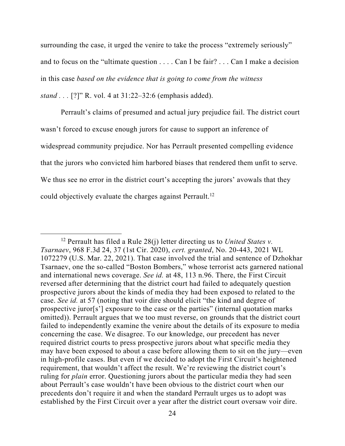surrounding the case, it urged the venire to take the process "extremely seriously" and to focus on the "ultimate question . . . . Can I be fair? . . . Can I make a decision in this case *based on the evidence that is going to come from the witness* 

*stand . . .* [?]" R. vol. 4 at 31:22–32:6 (emphasis added).

Perrault's claims of presumed and actual jury prejudice fail. The district court wasn't forced to excuse enough jurors for cause to support an inference of widespread community prejudice. Nor has Perrault presented compelling evidence that the jurors who convicted him harbored biases that rendered them unfit to serve. We thus see no error in the district court's accepting the jurors' avowals that they could objectively evaluate the charges against Perrault.<sup>12</sup>

<sup>12</sup> Perrault has filed a Rule 28(j) letter directing us to *United States v. Tsarnaev*, 968 F.3d 24, 37 (1st Cir. 2020), *cert. granted*, No. 20-443, 2021 WL 1072279 (U.S. Mar. 22, 2021). That case involved the trial and sentence of Dzhokhar Tsarnaev, one the so-called "Boston Bombers," whose terrorist acts garnered national and international news coverage. *See id.* at 48, 113 n.96. There, the First Circuit reversed after determining that the district court had failed to adequately question prospective jurors about the kinds of media they had been exposed to related to the case. *See id.* at 57 (noting that voir dire should elicit "the kind and degree of prospective juror[s'] exposure to the case or the parties" (internal quotation marks omitted)). Perrault argues that we too must reverse, on grounds that the district court failed to independently examine the venire about the details of its exposure to media concerning the case. We disagree. To our knowledge, our precedent has never required district courts to press prospective jurors about what specific media they may have been exposed to about a case before allowing them to sit on the jury—even in high-profile cases. But even if we decided to adopt the First Circuit's heightened requirement, that wouldn't affect the result. We're reviewing the district court's ruling for *plain* error. Questioning jurors about the particular media they had seen about Perrault's case wouldn't have been obvious to the district court when our precedents don't require it and when the standard Perrault urges us to adopt was established by the First Circuit over a year after the district court oversaw voir dire.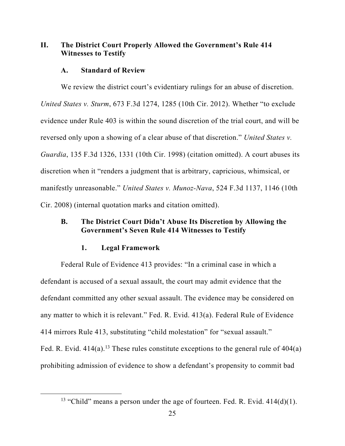## **II. The District Court Properly Allowed the Government's Rule 414 Witnesses to Testify**

## **A. Standard of Review**

We review the district court's evidentiary rulings for an abuse of discretion. *United States v. Sturm*, 673 F.3d 1274, 1285 (10th Cir. 2012). Whether "to exclude evidence under Rule 403 is within the sound discretion of the trial court, and will be reversed only upon a showing of a clear abuse of that discretion." *United States v. Guardia*, 135 F.3d 1326, 1331 (10th Cir. 1998) (citation omitted). A court abuses its discretion when it "renders a judgment that is arbitrary, capricious, whimsical, or manifestly unreasonable." *United States v. Munoz-Nava*, 524 F.3d 1137, 1146 (10th Cir. 2008) (internal quotation marks and citation omitted).

# **B. The District Court Didn't Abuse Its Discretion by Allowing the Government's Seven Rule 414 Witnesses to Testify**

## **1. Legal Framework**

Federal Rule of Evidence 413 provides: "In a criminal case in which a defendant is accused of a sexual assault, the court may admit evidence that the defendant committed any other sexual assault. The evidence may be considered on any matter to which it is relevant." Fed. R. Evid. 413(a). Federal Rule of Evidence 414 mirrors Rule 413, substituting "child molestation" for "sexual assault." Fed. R. Evid.  $414(a)$ .<sup>13</sup> These rules constitute exceptions to the general rule of  $404(a)$ prohibiting admission of evidence to show a defendant's propensity to commit bad

<sup>&</sup>lt;sup>13</sup> "Child" means a person under the age of fourteen. Fed. R. Evid.  $414(d)(1)$ .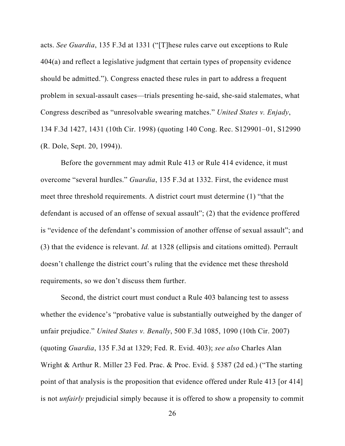acts. *See Guardia*, 135 F.3d at 1331 ("[T]hese rules carve out exceptions to Rule 404(a) and reflect a legislative judgment that certain types of propensity evidence should be admitted."). Congress enacted these rules in part to address a frequent problem in sexual-assault cases—trials presenting he-said, she-said stalemates, what Congress described as "unresolvable swearing matches." *United States v. Enjady*, 134 F.3d 1427, 1431 (10th Cir. 1998) (quoting 140 Cong. Rec. S129901–01, S12990 (R. Dole, Sept. 20, 1994)).

Before the government may admit Rule 413 or Rule 414 evidence, it must overcome "several hurdles." *Guardia*, 135 F.3d at 1332. First, the evidence must meet three threshold requirements. A district court must determine (1) "that the defendant is accused of an offense of sexual assault"; (2) that the evidence proffered is "evidence of the defendant's commission of another offense of sexual assault"; and (3) that the evidence is relevant. *Id.* at 1328 (ellipsis and citations omitted). Perrault doesn't challenge the district court's ruling that the evidence met these threshold requirements, so we don't discuss them further.

Second, the district court must conduct a Rule 403 balancing test to assess whether the evidence's "probative value is substantially outweighed by the danger of unfair prejudice." *United States v. Benally*, 500 F.3d 1085, 1090 (10th Cir. 2007) (quoting *Guardia*, 135 F.3d at 1329; Fed. R. Evid. 403); *see also* Charles Alan Wright & Arthur R. Miller 23 Fed. Prac. & Proc. Evid. § 5387 (2d ed.) ("The starting point of that analysis is the proposition that evidence offered under Rule 413 [or 414] is not *unfairly* prejudicial simply because it is offered to show a propensity to commit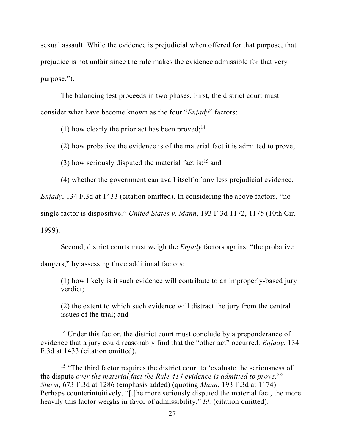sexual assault. While the evidence is prejudicial when offered for that purpose, that prejudice is not unfair since the rule makes the evidence admissible for that very purpose.").

The balancing test proceeds in two phases. First, the district court must consider what have become known as the four "*Enjady*" factors:

(1) how clearly the prior act has been proved;  $14$ 

(2) how probative the evidence is of the material fact it is admitted to prove;

(3) how seriously disputed the material fact is;<sup>15</sup> and

(4) whether the government can avail itself of any less prejudicial evidence.

*Enjady*, 134 F.3d at 1433 (citation omitted). In considering the above factors, "no

single factor is dispositive." *United States v. Mann*, 193 F.3d 1172, 1175 (10th Cir.

1999).

Second, district courts must weigh the *Enjady* factors against "the probative

dangers," by assessing three additional factors:

(1) how likely is it such evidence will contribute to an improperly-based jury verdict;

(2) the extent to which such evidence will distract the jury from the central issues of the trial; and

<sup>&</sup>lt;sup>14</sup> Under this factor, the district court must conclude by a preponderance of evidence that a jury could reasonably find that the "other act" occurred. *Enjady*, 134 F.3d at 1433 (citation omitted).

<sup>&</sup>lt;sup>15</sup> "The third factor requires the district court to 'evaluate the seriousness of the dispute *over the material fact the Rule 414 evidence is admitted to prove*.'" *Sturm*, 673 F.3d at 1286 (emphasis added) (quoting *Mann*, 193 F.3d at 1174). Perhaps counterintuitively, "[t]he more seriously disputed the material fact, the more heavily this factor weighs in favor of admissibility." *Id.* (citation omitted).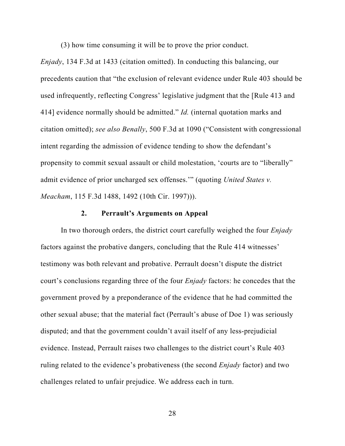(3) how time consuming it will be to prove the prior conduct.

*Enjady*, 134 F.3d at 1433 (citation omitted). In conducting this balancing, our precedents caution that "the exclusion of relevant evidence under Rule 403 should be used infrequently, reflecting Congress' legislative judgment that the [Rule 413 and 414] evidence normally should be admitted." *Id.* (internal quotation marks and citation omitted); *see also Benally*, 500 F.3d at 1090 ("Consistent with congressional intent regarding the admission of evidence tending to show the defendant's propensity to commit sexual assault or child molestation, 'courts are to "liberally" admit evidence of prior uncharged sex offenses.'" (quoting *United States v. Meacham*, 115 F.3d 1488, 1492 (10th Cir. 1997))).

#### **2. Perrault's Arguments on Appeal**

In two thorough orders, the district court carefully weighed the four *Enjady*  factors against the probative dangers, concluding that the Rule 414 witnesses' testimony was both relevant and probative. Perrault doesn't dispute the district court's conclusions regarding three of the four *Enjady* factors: he concedes that the government proved by a preponderance of the evidence that he had committed the other sexual abuse; that the material fact (Perrault's abuse of Doe 1) was seriously disputed; and that the government couldn't avail itself of any less-prejudicial evidence. Instead, Perrault raises two challenges to the district court's Rule 403 ruling related to the evidence's probativeness (the second *Enjady* factor) and two challenges related to unfair prejudice. We address each in turn.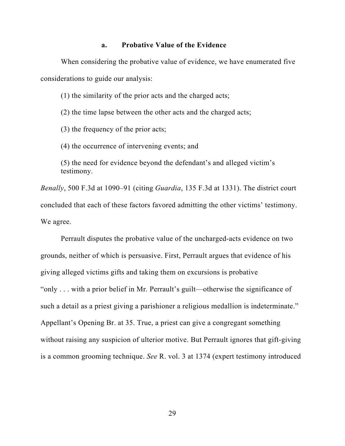#### **a. Probative Value of the Evidence**

When considering the probative value of evidence, we have enumerated five considerations to guide our analysis:

(1) the similarity of the prior acts and the charged acts;

(2) the time lapse between the other acts and the charged acts;

(3) the frequency of the prior acts;

(4) the occurrence of intervening events; and

(5) the need for evidence beyond the defendant's and alleged victim's testimony.

*Benally*, 500 F.3d at 1090–91 (citing *Guardia*, 135 F.3d at 1331). The district court concluded that each of these factors favored admitting the other victims' testimony. We agree.

Perrault disputes the probative value of the uncharged-acts evidence on two grounds, neither of which is persuasive. First, Perrault argues that evidence of his giving alleged victims gifts and taking them on excursions is probative "only . . . with a prior belief in Mr. Perrault's guilt—otherwise the significance of such a detail as a priest giving a parishioner a religious medallion is indeterminate." Appellant's Opening Br. at 35. True, a priest can give a congregant something without raising any suspicion of ulterior motive. But Perrault ignores that gift-giving is a common grooming technique. *See* R. vol. 3 at 1374 (expert testimony introduced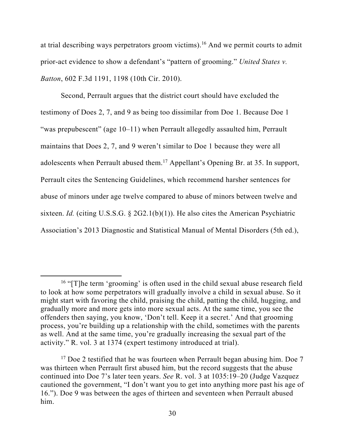at trial describing ways perpetrators groom victims).16 And we permit courts to admit prior-act evidence to show a defendant's "pattern of grooming." *United States v. Batton*, 602 F.3d 1191, 1198 (10th Cir. 2010).

Second, Perrault argues that the district court should have excluded the testimony of Does 2, 7, and 9 as being too dissimilar from Doe 1. Because Doe 1 "was prepubescent" (age 10–11) when Perrault allegedly assaulted him, Perrault maintains that Does 2, 7, and 9 weren't similar to Doe 1 because they were all adolescents when Perrault abused them.17 Appellant's Opening Br. at 35. In support, Perrault cites the Sentencing Guidelines, which recommend harsher sentences for abuse of minors under age twelve compared to abuse of minors between twelve and sixteen. *Id.* (citing U.S.S.G. § 2G2.1(b)(1)). He also cites the American Psychiatric Association's 2013 Diagnostic and Statistical Manual of Mental Disorders (5th ed.),

<sup>&</sup>lt;sup>16</sup> "[T]he term 'grooming' is often used in the child sexual abuse research field to look at how some perpetrators will gradually involve a child in sexual abuse. So it might start with favoring the child, praising the child, patting the child, hugging, and gradually more and more gets into more sexual acts. At the same time, you see the offenders then saying, you know, 'Don't tell. Keep it a secret.' And that grooming process, you're building up a relationship with the child, sometimes with the parents as well. And at the same time, you're gradually increasing the sexual part of the activity." R. vol. 3 at 1374 (expert testimony introduced at trial).

 $17$  Doe 2 testified that he was fourteen when Perrault began abusing him. Doe 7 was thirteen when Perrault first abused him, but the record suggests that the abuse continued into Doe 7's later teen years. *See* R. vol. 3 at 1035:19–20 (Judge Vazquez cautioned the government, "I don't want you to get into anything more past his age of 16."). Doe 9 was between the ages of thirteen and seventeen when Perrault abused him.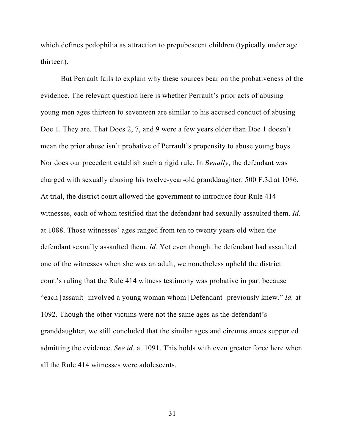which defines pedophilia as attraction to prepubescent children (typically under age thirteen).

But Perrault fails to explain why these sources bear on the probativeness of the evidence. The relevant question here is whether Perrault's prior acts of abusing young men ages thirteen to seventeen are similar to his accused conduct of abusing Doe 1. They are. That Does 2, 7, and 9 were a few years older than Doe 1 doesn't mean the prior abuse isn't probative of Perrault's propensity to abuse young boys. Nor does our precedent establish such a rigid rule. In *Benally*, the defendant was charged with sexually abusing his twelve-year-old granddaughter. 500 F.3d at 1086. At trial, the district court allowed the government to introduce four Rule 414 witnesses, each of whom testified that the defendant had sexually assaulted them. *Id.* at 1088. Those witnesses' ages ranged from ten to twenty years old when the defendant sexually assaulted them. *Id.* Yet even though the defendant had assaulted one of the witnesses when she was an adult, we nonetheless upheld the district court's ruling that the Rule 414 witness testimony was probative in part because "each [assault] involved a young woman whom [Defendant] previously knew." *Id.* at 1092. Though the other victims were not the same ages as the defendant's granddaughter, we still concluded that the similar ages and circumstances supported admitting the evidence. *See id*. at 1091. This holds with even greater force here when all the Rule 414 witnesses were adolescents.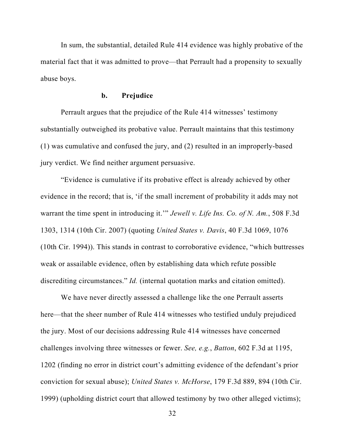In sum, the substantial, detailed Rule 414 evidence was highly probative of the material fact that it was admitted to prove—that Perrault had a propensity to sexually abuse boys.

### **b. Prejudice**

Perrault argues that the prejudice of the Rule 414 witnesses' testimony substantially outweighed its probative value. Perrault maintains that this testimony (1) was cumulative and confused the jury, and (2) resulted in an improperly-based jury verdict. We find neither argument persuasive.

"Evidence is cumulative if its probative effect is already achieved by other evidence in the record; that is, 'if the small increment of probability it adds may not warrant the time spent in introducing it.'" *Jewell v. Life Ins. Co. of N. Am.*, 508 F.3d 1303, 1314 (10th Cir. 2007) (quoting *United States v. Davis*, 40 F.3d 1069, 1076 (10th Cir. 1994)). This stands in contrast to corroborative evidence, "which buttresses weak or assailable evidence, often by establishing data which refute possible discrediting circumstances." *Id.* (internal quotation marks and citation omitted).

We have never directly assessed a challenge like the one Perrault asserts here—that the sheer number of Rule 414 witnesses who testified unduly prejudiced the jury. Most of our decisions addressing Rule 414 witnesses have concerned challenges involving three witnesses or fewer. *See, e.g.*, *Batton*, 602 F.3d at 1195, 1202 (finding no error in district court's admitting evidence of the defendant's prior conviction for sexual abuse); *United States v. McHorse*, 179 F.3d 889, 894 (10th Cir. 1999) (upholding district court that allowed testimony by two other alleged victims);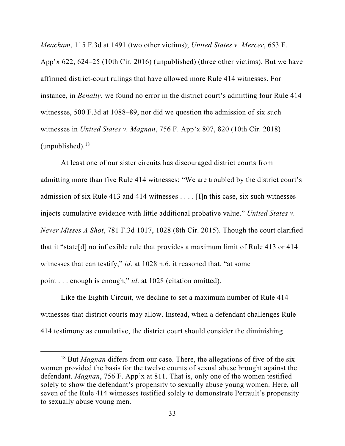*Meacham*, 115 F.3d at 1491 (two other victims); *United States v. Mercer*, 653 F. App'x 622, 624–25 (10th Cir. 2016) (unpublished) (three other victims). But we have affirmed district-court rulings that have allowed more Rule 414 witnesses. For instance, in *Benally*, we found no error in the district court's admitting four Rule 414 witnesses, 500 F.3d at 1088–89, nor did we question the admission of six such witnesses in *United States v. Magnan*, 756 F. App'x 807, 820 (10th Cir. 2018) (unpublished). $18$ 

At least one of our sister circuits has discouraged district courts from admitting more than five Rule 414 witnesses: "We are troubled by the district court's admission of six Rule 413 and 414 witnesses . . . . [I]n this case, six such witnesses injects cumulative evidence with little additional probative value." *United States v. Never Misses A Shot*, 781 F.3d 1017, 1028 (8th Cir. 2015). Though the court clarified that it "state[d] no inflexible rule that provides a maximum limit of Rule 413 or 414 witnesses that can testify," *id.* at 1028 n.6, it reasoned that, "at some point . . . enough is enough," *id*. at 1028 (citation omitted).

Like the Eighth Circuit, we decline to set a maximum number of Rule 414 witnesses that district courts may allow. Instead, when a defendant challenges Rule 414 testimony as cumulative, the district court should consider the diminishing

<sup>18</sup> But *Magnan* differs from our case. There, the allegations of five of the six women provided the basis for the twelve counts of sexual abuse brought against the defendant. *Magnan*, 756 F. App'x at 811. That is, only one of the women testified solely to show the defendant's propensity to sexually abuse young women. Here, all seven of the Rule 414 witnesses testified solely to demonstrate Perrault's propensity to sexually abuse young men.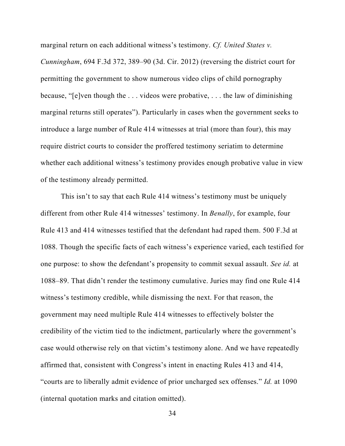marginal return on each additional witness's testimony. *Cf. United States v. Cunningham*, 694 F.3d 372, 389–90 (3d. Cir. 2012) (reversing the district court for permitting the government to show numerous video clips of child pornography because, "[e]ven though the . . . videos were probative, . . . the law of diminishing marginal returns still operates"). Particularly in cases when the government seeks to introduce a large number of Rule 414 witnesses at trial (more than four), this may require district courts to consider the proffered testimony seriatim to determine whether each additional witness's testimony provides enough probative value in view of the testimony already permitted.

This isn't to say that each Rule 414 witness's testimony must be uniquely different from other Rule 414 witnesses' testimony. In *Benally*, for example, four Rule 413 and 414 witnesses testified that the defendant had raped them. 500 F.3d at 1088. Though the specific facts of each witness's experience varied, each testified for one purpose: to show the defendant's propensity to commit sexual assault. *See id.* at 1088–89. That didn't render the testimony cumulative. Juries may find one Rule 414 witness's testimony credible, while dismissing the next. For that reason, the government may need multiple Rule 414 witnesses to effectively bolster the credibility of the victim tied to the indictment, particularly where the government's case would otherwise rely on that victim's testimony alone. And we have repeatedly affirmed that, consistent with Congress's intent in enacting Rules 413 and 414, "courts are to liberally admit evidence of prior uncharged sex offenses." *Id.* at 1090 (internal quotation marks and citation omitted).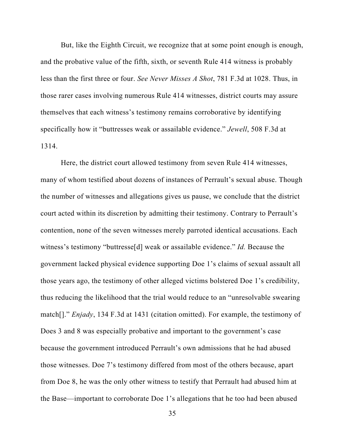But, like the Eighth Circuit, we recognize that at some point enough is enough, and the probative value of the fifth, sixth, or seventh Rule 414 witness is probably less than the first three or four. *See Never Misses A Shot*, 781 F.3d at 1028. Thus, in those rarer cases involving numerous Rule 414 witnesses, district courts may assure themselves that each witness's testimony remains corroborative by identifying specifically how it "buttresses weak or assailable evidence." *Jewell*, 508 F.3d at 1314.

Here, the district court allowed testimony from seven Rule 414 witnesses, many of whom testified about dozens of instances of Perrault's sexual abuse. Though the number of witnesses and allegations gives us pause, we conclude that the district court acted within its discretion by admitting their testimony. Contrary to Perrault's contention, none of the seven witnesses merely parroted identical accusations. Each witness's testimony "buttresse[d] weak or assailable evidence." *Id.* Because the government lacked physical evidence supporting Doe 1's claims of sexual assault all those years ago, the testimony of other alleged victims bolstered Doe 1's credibility, thus reducing the likelihood that the trial would reduce to an "unresolvable swearing match[]." *Enjady*, 134 F.3d at 1431 (citation omitted). For example, the testimony of Does 3 and 8 was especially probative and important to the government's case because the government introduced Perrault's own admissions that he had abused those witnesses. Doe 7's testimony differed from most of the others because, apart from Doe 8, he was the only other witness to testify that Perrault had abused him at the Base—important to corroborate Doe 1's allegations that he too had been abused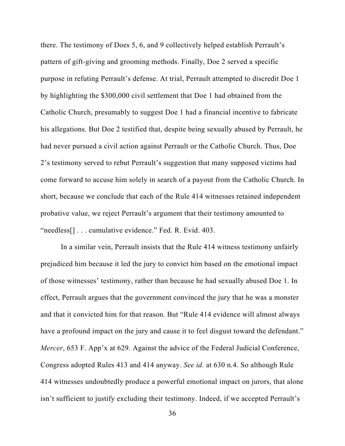there. The testimony of Does 5, 6, and 9 collectively helped establish Perrault's pattern of gift-giving and grooming methods. Finally, Doe 2 served a specific purpose in refuting Perrault's defense. At trial, Perrault attempted to discredit Doe 1 by highlighting the \$300,000 civil settlement that Doe 1 had obtained from the Catholic Church, presumably to suggest Doe 1 had a financial incentive to fabricate his allegations. But Doe 2 testified that, despite being sexually abused by Perrault, he had never pursued a civil action against Perrault or the Catholic Church. Thus, Doe 2's testimony served to rebut Perrault's suggestion that many supposed victims had come forward to accuse him solely in search of a payout from the Catholic Church. In short, because we conclude that each of the Rule 414 witnesses retained independent probative value, we reject Perrault's argument that their testimony amounted to "needless[] . . . cumulative evidence." Fed. R. Evid. 403.

In a similar vein, Perrault insists that the Rule 414 witness testimony unfairly prejudiced him because it led the jury to convict him based on the emotional impact of those witnesses' testimony, rather than because he had sexually abused Doe 1. In effect, Perrault argues that the government convinced the jury that he was a monster and that it convicted him for that reason. But "Rule 414 evidence will almost always have a profound impact on the jury and cause it to feel disgust toward the defendant." *Mercer*, 653 F. App'x at 629. Against the advice of the Federal Judicial Conference, Congress adopted Rules 413 and 414 anyway. *See id.* at 630 n.4. So although Rule 414 witnesses undoubtedly produce a powerful emotional impact on jurors, that alone isn't sufficient to justify excluding their testimony. Indeed, if we accepted Perrault's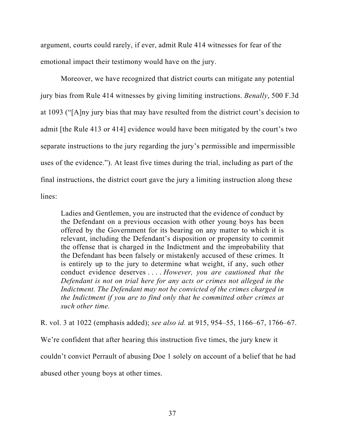argument, courts could rarely, if ever, admit Rule 414 witnesses for fear of the emotional impact their testimony would have on the jury.

Moreover, we have recognized that district courts can mitigate any potential jury bias from Rule 414 witnesses by giving limiting instructions. *Benally*, 500 F.3d at 1093 ("[A]ny jury bias that may have resulted from the district court's decision to admit [the Rule 413 or 414] evidence would have been mitigated by the court's two separate instructions to the jury regarding the jury's permissible and impermissible uses of the evidence."). At least five times during the trial, including as part of the final instructions, the district court gave the jury a limiting instruction along these lines:

Ladies and Gentlemen, you are instructed that the evidence of conduct by the Defendant on a previous occasion with other young boys has been offered by the Government for its bearing on any matter to which it is relevant, including the Defendant's disposition or propensity to commit the offense that is charged in the Indictment and the improbability that the Defendant has been falsely or mistakenly accused of these crimes. It is entirely up to the jury to determine what weight, if any, such other conduct evidence deserves . . . . *However, you are cautioned that the Defendant is not on trial here for any acts or crimes not alleged in the Indictment. The Defendant may not be convicted of the crimes charged in the Indictment if you are to find only that he committed other crimes at such other time.*

R. vol. 3 at 1022 (emphasis added); *see also id.* at 915, 954–55, 1166–67, 1766–67. We're confident that after hearing this instruction five times, the jury knew it couldn't convict Perrault of abusing Doe 1 solely on account of a belief that he had abused other young boys at other times.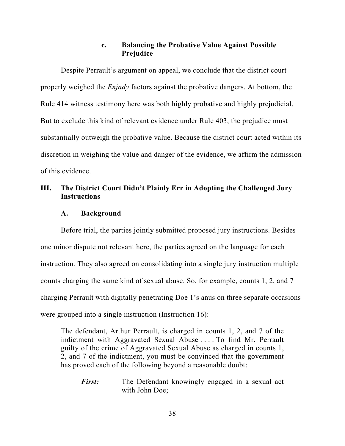### **c. Balancing the Probative Value Against Possible Prejudice**

Despite Perrault's argument on appeal, we conclude that the district court properly weighed the *Enjady* factors against the probative dangers. At bottom, the Rule 414 witness testimony here was both highly probative and highly prejudicial. But to exclude this kind of relevant evidence under Rule 403, the prejudice must substantially outweigh the probative value. Because the district court acted within its discretion in weighing the value and danger of the evidence, we affirm the admission of this evidence.

## **III. The District Court Didn't Plainly Err in Adopting the Challenged Jury Instructions**

### **A. Background**

Before trial, the parties jointly submitted proposed jury instructions. Besides one minor dispute not relevant here, the parties agreed on the language for each instruction. They also agreed on consolidating into a single jury instruction multiple counts charging the same kind of sexual abuse. So, for example, counts 1, 2, and 7 charging Perrault with digitally penetrating Doe 1's anus on three separate occasions were grouped into a single instruction (Instruction 16):

The defendant, Arthur Perrault, is charged in counts 1, 2, and 7 of the indictment with Aggravated Sexual Abuse . . . . To find Mr. Perrault guilty of the crime of Aggravated Sexual Abuse as charged in counts 1, 2, and 7 of the indictment, you must be convinced that the government has proved each of the following beyond a reasonable doubt:

*First:* The Defendant knowingly engaged in a sexual act with John Doe;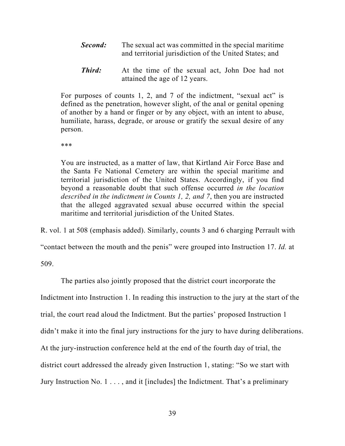- *Second:* The sexual act was committed in the special maritime and territorial jurisdiction of the United States; and
- *Third:* At the time of the sexual act, John Doe had not attained the age of 12 years.

For purposes of counts 1, 2, and 7 of the indictment, "sexual act" is defined as the penetration, however slight, of the anal or genital opening of another by a hand or finger or by any object, with an intent to abuse, humiliate, harass, degrade, or arouse or gratify the sexual desire of any person.

\*\*\*

You are instructed, as a matter of law, that Kirtland Air Force Base and the Santa Fe National Cemetery are within the special maritime and territorial jurisdiction of the United States. Accordingly, if you find beyond a reasonable doubt that such offense occurred *in the location described in the indictment in Counts 1, 2, and 7*, then you are instructed that the alleged aggravated sexual abuse occurred within the special maritime and territorial jurisdiction of the United States.

R. vol. 1 at 508 (emphasis added). Similarly, counts 3 and 6 charging Perrault with

"contact between the mouth and the penis" were grouped into Instruction 17. *Id.* at

509.

The parties also jointly proposed that the district court incorporate the Indictment into Instruction 1. In reading this instruction to the jury at the start of the trial, the court read aloud the Indictment. But the parties' proposed Instruction 1 didn't make it into the final jury instructions for the jury to have during deliberations. At the jury-instruction conference held at the end of the fourth day of trial, the district court addressed the already given Instruction 1, stating: "So we start with Jury Instruction No. 1 . . . , and it [includes] the Indictment. That's a preliminary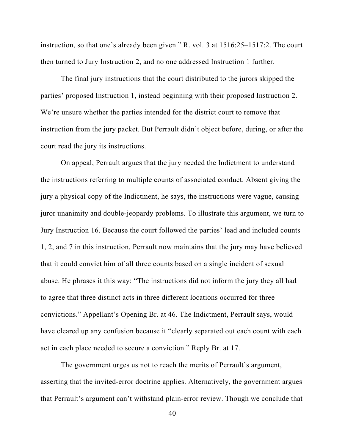instruction, so that one's already been given." R. vol. 3 at 1516:25–1517:2. The court then turned to Jury Instruction 2, and no one addressed Instruction 1 further.

 The final jury instructions that the court distributed to the jurors skipped the parties' proposed Instruction 1, instead beginning with their proposed Instruction 2. We're unsure whether the parties intended for the district court to remove that instruction from the jury packet. But Perrault didn't object before, during, or after the court read the jury its instructions.

On appeal, Perrault argues that the jury needed the Indictment to understand the instructions referring to multiple counts of associated conduct. Absent giving the jury a physical copy of the Indictment, he says, the instructions were vague, causing juror unanimity and double-jeopardy problems. To illustrate this argument, we turn to Jury Instruction 16. Because the court followed the parties' lead and included counts 1, 2, and 7 in this instruction, Perrault now maintains that the jury may have believed that it could convict him of all three counts based on a single incident of sexual abuse. He phrases it this way: "The instructions did not inform the jury they all had to agree that three distinct acts in three different locations occurred for three convictions." Appellant's Opening Br. at 46. The Indictment, Perrault says, would have cleared up any confusion because it "clearly separated out each count with each act in each place needed to secure a conviction." Reply Br. at 17.

The government urges us not to reach the merits of Perrault's argument, asserting that the invited-error doctrine applies. Alternatively, the government argues that Perrault's argument can't withstand plain-error review. Though we conclude that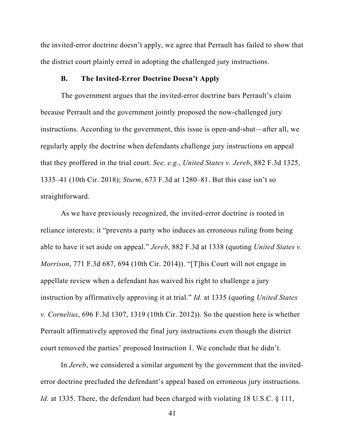the invited-error doctrine doesn't apply, we agree that Perrault has failed to show that the district court plainly erred in adopting the challenged jury instructions.

#### **B. The Invited-Error Doctrine Doesn't Apply**

The government argues that the invited-error doctrine bars Perrault's claim because Perrault and the government jointly proposed the now-challenged jury instructions. According to the government, this issue is open-and-shut—after all, we regularly apply the doctrine when defendants challenge jury instructions on appeal that they proffered in the trial court. *See, e.g.*, *United States v. Jereb*, 882 F.3d 1325, 1335–41 (10th Cir. 2018); *Sturm*, 673 F.3d at 1280–81. But this case isn't so straightforward.

As we have previously recognized, the invited-error doctrine is rooted in reliance interests: it "prevents a party who induces an erroneous ruling from being able to have it set aside on appeal." *Jereb*, 882 F.3d at 1338 (quoting *United States v. Morrison*, 771 F.3d 687, 694 (10th Cir. 2014)). "[T]his Court will not engage in appellate review when a defendant has waived his right to challenge a jury instruction by affirmatively approving it at trial." *Id.* at 1335 (quoting *United States v. Cornelius*, 696 F.3d 1307, 1319 (10th Cir. 2012)). So the question here is whether Perrault affirmatively approved the final jury instructions even though the district court removed the parties' proposed Instruction 1. We conclude that he didn't.

In *Jereb*, we considered a similar argument by the government that the invitederror doctrine precluded the defendant's appeal based on erroneous jury instructions. *Id.* at 1335. There, the defendant had been charged with violating 18 U.S.C. § 111,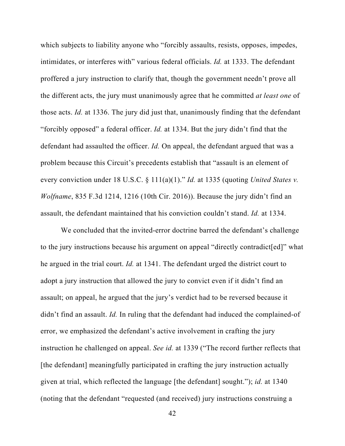which subjects to liability anyone who "forcibly assaults, resists, opposes, impedes, intimidates, or interferes with" various federal officials. *Id.* at 1333. The defendant proffered a jury instruction to clarify that, though the government needn't prove all the different acts, the jury must unanimously agree that he committed *at least one* of those acts. *Id.* at 1336. The jury did just that, unanimously finding that the defendant "forcibly opposed" a federal officer. *Id.* at 1334. But the jury didn't find that the defendant had assaulted the officer. *Id.* On appeal, the defendant argued that was a problem because this Circuit's precedents establish that "assault is an element of every conviction under 18 U.S.C. § 111(a)(1)." *Id.* at 1335 (quoting *United States v. Wolfname*, 835 F.3d 1214, 1216 (10th Cir. 2016)). Because the jury didn't find an assault, the defendant maintained that his conviction couldn't stand. *Id.* at 1334.

We concluded that the invited-error doctrine barred the defendant's challenge to the jury instructions because his argument on appeal "directly contradict[ed]" what he argued in the trial court. *Id.* at 1341. The defendant urged the district court to adopt a jury instruction that allowed the jury to convict even if it didn't find an assault; on appeal, he argued that the jury's verdict had to be reversed because it didn't find an assault. *Id.* In ruling that the defendant had induced the complained-of error, we emphasized the defendant's active involvement in crafting the jury instruction he challenged on appeal. *See id.* at 1339 ("The record further reflects that [the defendant] meaningfully participated in crafting the jury instruction actually given at trial, which reflected the language [the defendant] sought."); *id.* at 1340 (noting that the defendant "requested (and received) jury instructions construing a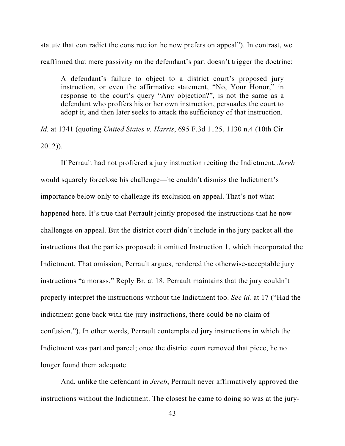statute that contradict the construction he now prefers on appeal"). In contrast, we reaffirmed that mere passivity on the defendant's part doesn't trigger the doctrine:

A defendant's failure to object to a district court's proposed jury instruction, or even the affirmative statement, "No, Your Honor," in response to the court's query "Any objection?", is not the same as a defendant who proffers his or her own instruction, persuades the court to adopt it, and then later seeks to attack the sufficiency of that instruction.

*Id.* at 1341 (quoting *United States v. Harris*, 695 F.3d 1125, 1130 n.4 (10th Cir. 2012)).

If Perrault had not proffered a jury instruction reciting the Indictment, *Jereb*  would squarely foreclose his challenge—he couldn't dismiss the Indictment's importance below only to challenge its exclusion on appeal. That's not what happened here. It's true that Perrault jointly proposed the instructions that he now challenges on appeal. But the district court didn't include in the jury packet all the instructions that the parties proposed; it omitted Instruction 1, which incorporated the Indictment. That omission, Perrault argues, rendered the otherwise-acceptable jury instructions "a morass." Reply Br. at 18. Perrault maintains that the jury couldn't properly interpret the instructions without the Indictment too. *See id.* at 17 ("Had the indictment gone back with the jury instructions, there could be no claim of confusion."). In other words, Perrault contemplated jury instructions in which the Indictment was part and parcel; once the district court removed that piece, he no longer found them adequate.

And, unlike the defendant in *Jereb*, Perrault never affirmatively approved the instructions without the Indictment. The closest he came to doing so was at the jury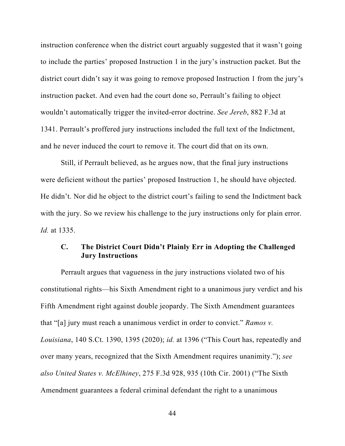instruction conference when the district court arguably suggested that it wasn't going to include the parties' proposed Instruction 1 in the jury's instruction packet. But the district court didn't say it was going to remove proposed Instruction 1 from the jury's instruction packet. And even had the court done so, Perrault's failing to object wouldn't automatically trigger the invited-error doctrine. *See Jereb*, 882 F.3d at 1341. Perrault's proffered jury instructions included the full text of the Indictment, and he never induced the court to remove it. The court did that on its own.

Still, if Perrault believed, as he argues now, that the final jury instructions were deficient without the parties' proposed Instruction 1, he should have objected. He didn't. Nor did he object to the district court's failing to send the Indictment back with the jury. So we review his challenge to the jury instructions only for plain error. *Id.* at 1335.

## **C. The District Court Didn't Plainly Err in Adopting the Challenged Jury Instructions**

Perrault argues that vagueness in the jury instructions violated two of his constitutional rights—his Sixth Amendment right to a unanimous jury verdict and his Fifth Amendment right against double jeopardy. The Sixth Amendment guarantees that "[a] jury must reach a unanimous verdict in order to convict." *Ramos v. Louisiana*, 140 S.Ct. 1390, 1395 (2020); *id.* at 1396 ("This Court has, repeatedly and over many years, recognized that the Sixth Amendment requires unanimity."); *see also United States v. McElhiney*, 275 F.3d 928, 935 (10th Cir. 2001) ("The Sixth Amendment guarantees a federal criminal defendant the right to a unanimous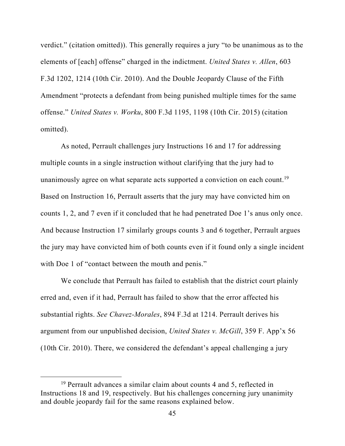verdict." (citation omitted)). This generally requires a jury "to be unanimous as to the elements of [each] offense" charged in the indictment. *United States v. Allen*, 603 F.3d 1202, 1214 (10th Cir. 2010). And the Double Jeopardy Clause of the Fifth Amendment "protects a defendant from being punished multiple times for the same offense." *United States v. Worku*, 800 F.3d 1195, 1198 (10th Cir. 2015) (citation omitted).

As noted, Perrault challenges jury Instructions 16 and 17 for addressing multiple counts in a single instruction without clarifying that the jury had to unanimously agree on what separate acts supported a conviction on each count.<sup>19</sup> Based on Instruction 16, Perrault asserts that the jury may have convicted him on counts 1, 2, and 7 even if it concluded that he had penetrated Doe 1's anus only once. And because Instruction 17 similarly groups counts 3 and 6 together, Perrault argues the jury may have convicted him of both counts even if it found only a single incident with Doe 1 of "contact between the mouth and penis."

We conclude that Perrault has failed to establish that the district court plainly erred and, even if it had, Perrault has failed to show that the error affected his substantial rights. *See Chavez-Morales*, 894 F.3d at 1214. Perrault derives his argument from our unpublished decision, *United States v. McGill*, 359 F. App'x 56 (10th Cir. 2010). There, we considered the defendant's appeal challenging a jury

<sup>19</sup> Perrault advances a similar claim about counts 4 and 5, reflected in Instructions 18 and 19, respectively. But his challenges concerning jury unanimity and double jeopardy fail for the same reasons explained below.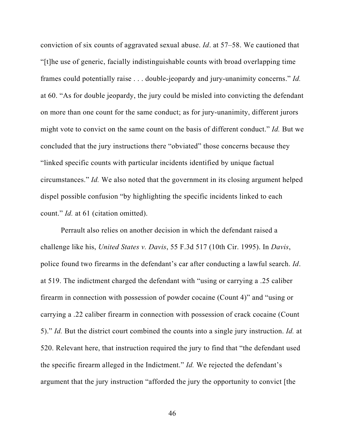conviction of six counts of aggravated sexual abuse. *Id*. at 57–58. We cautioned that "[t]he use of generic, facially indistinguishable counts with broad overlapping time frames could potentially raise . . . double-jeopardy and jury-unanimity concerns." *Id.*  at 60. "As for double jeopardy, the jury could be misled into convicting the defendant on more than one count for the same conduct; as for jury-unanimity, different jurors might vote to convict on the same count on the basis of different conduct." *Id.* But we concluded that the jury instructions there "obviated" those concerns because they "linked specific counts with particular incidents identified by unique factual circumstances." *Id.* We also noted that the government in its closing argument helped dispel possible confusion "by highlighting the specific incidents linked to each count." *Id.* at 61 (citation omitted).

Perrault also relies on another decision in which the defendant raised a challenge like his, *United States v. Davis*, 55 F.3d 517 (10th Cir. 1995). In *Davis*, police found two firearms in the defendant's car after conducting a lawful search. *Id*. at 519. The indictment charged the defendant with "using or carrying a .25 caliber firearm in connection with possession of powder cocaine (Count 4)" and "using or carrying a .22 caliber firearm in connection with possession of crack cocaine (Count 5)." *Id.* But the district court combined the counts into a single jury instruction. *Id.* at 520. Relevant here, that instruction required the jury to find that "the defendant used the specific firearm alleged in the Indictment." *Id.* We rejected the defendant's argument that the jury instruction "afforded the jury the opportunity to convict [the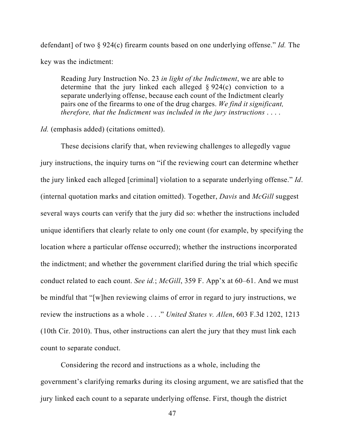defendant] of two § 924(c) firearm counts based on one underlying offense." *Id.* The key was the indictment:

Reading Jury Instruction No. 23 *in light of the Indictment*, we are able to determine that the jury linked each alleged  $\S 924(c)$  conviction to a separate underlying offense, because each count of the Indictment clearly pairs one of the firearms to one of the drug charges. *We find it significant, therefore, that the Indictment was included in the jury instructions* . . . .

*Id.* (emphasis added) (citations omitted).

These decisions clarify that, when reviewing challenges to allegedly vague jury instructions, the inquiry turns on "if the reviewing court can determine whether the jury linked each alleged [criminal] violation to a separate underlying offense." *Id*. (internal quotation marks and citation omitted). Together, *Davis* and *McGill* suggest several ways courts can verify that the jury did so: whether the instructions included unique identifiers that clearly relate to only one count (for example, by specifying the location where a particular offense occurred); whether the instructions incorporated the indictment; and whether the government clarified during the trial which specific conduct related to each count. *See id.*; *McGill*, 359 F. App'x at 60–61. And we must be mindful that "[w]hen reviewing claims of error in regard to jury instructions, we review the instructions as a whole . . . ." *United States v. Allen*, 603 F.3d 1202, 1213 (10th Cir. 2010). Thus, other instructions can alert the jury that they must link each count to separate conduct.

 Considering the record and instructions as a whole, including the government's clarifying remarks during its closing argument, we are satisfied that the jury linked each count to a separate underlying offense. First, though the district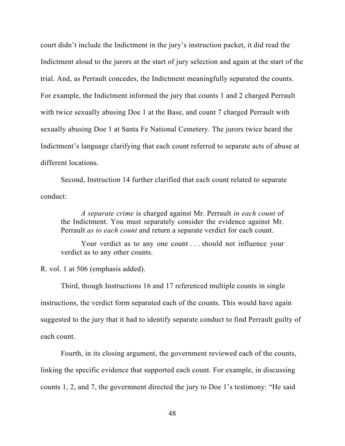court didn't include the Indictment in the jury's instruction packet, it did read the Indictment aloud to the jurors at the start of jury selection and again at the start of the trial. And, as Perrault concedes, the Indictment meaningfully separated the counts. For example, the Indictment informed the jury that counts 1 and 2 charged Perrault with twice sexually abusing Doe 1 at the Base, and count 7 charged Perrault with sexually abusing Doe 1 at Santa Fe National Cemetery. The jurors twice heard the Indictment's language clarifying that each count referred to separate acts of abuse at different locations.

Second, Instruction 14 further clarified that each count related to separate conduct:

*A separate crime* is charged against Mr. Perrault *in each count* of the Indictment. You must separately consider the evidence against Mr. Perrault *as to each count* and return a separate verdict for each count.

Your verdict as to any one count . . . should not influence your verdict as to any other counts.

R. vol. 1 at 506 (emphasis added).

Third, though Instructions 16 and 17 referenced multiple counts in single instructions, the verdict form separated each of the counts. This would have again suggested to the jury that it had to identify separate conduct to find Perrault guilty of each count.

Fourth, in its closing argument, the government reviewed each of the counts, linking the specific evidence that supported each count. For example, in discussing counts 1, 2, and 7, the government directed the jury to Doe 1's testimony: "He said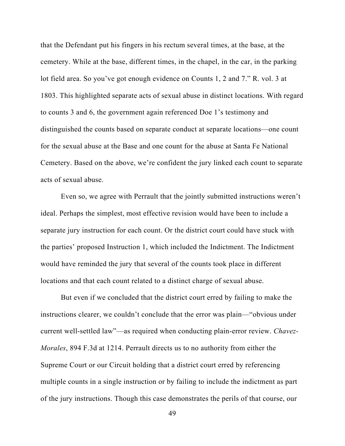that the Defendant put his fingers in his rectum several times, at the base, at the cemetery. While at the base, different times, in the chapel, in the car, in the parking lot field area. So you've got enough evidence on Counts 1, 2 and 7." R. vol. 3 at 1803. This highlighted separate acts of sexual abuse in distinct locations. With regard to counts 3 and 6, the government again referenced Doe 1's testimony and distinguished the counts based on separate conduct at separate locations—one count for the sexual abuse at the Base and one count for the abuse at Santa Fe National Cemetery. Based on the above, we're confident the jury linked each count to separate acts of sexual abuse.

 Even so, we agree with Perrault that the jointly submitted instructions weren't ideal. Perhaps the simplest, most effective revision would have been to include a separate jury instruction for each count. Or the district court could have stuck with the parties' proposed Instruction 1, which included the Indictment. The Indictment would have reminded the jury that several of the counts took place in different locations and that each count related to a distinct charge of sexual abuse.

But even if we concluded that the district court erred by failing to make the instructions clearer, we couldn't conclude that the error was plain—"obvious under current well-settled law"—as required when conducting plain-error review. *Chavez-Morales*, 894 F.3d at 1214. Perrault directs us to no authority from either the Supreme Court or our Circuit holding that a district court erred by referencing multiple counts in a single instruction or by failing to include the indictment as part of the jury instructions. Though this case demonstrates the perils of that course, our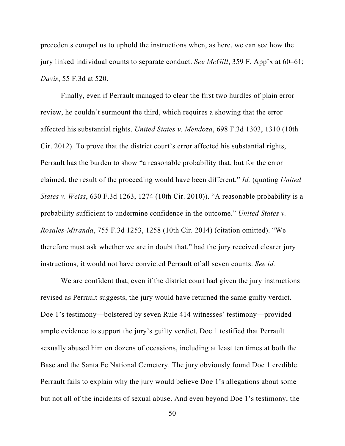precedents compel us to uphold the instructions when, as here, we can see how the jury linked individual counts to separate conduct. *See McGill*, 359 F. App'x at 60–61; *Davis*, 55 F.3d at 520.

Finally, even if Perrault managed to clear the first two hurdles of plain error review, he couldn't surmount the third, which requires a showing that the error affected his substantial rights. *United States v. Mendoza*, 698 F.3d 1303, 1310 (10th Cir. 2012). To prove that the district court's error affected his substantial rights, Perrault has the burden to show "a reasonable probability that, but for the error claimed, the result of the proceeding would have been different." *Id.* (quoting *United States v. Weiss*, 630 F.3d 1263, 1274 (10th Cir. 2010)). "A reasonable probability is a probability sufficient to undermine confidence in the outcome." *United States v. Rosales-Miranda*, 755 F.3d 1253, 1258 (10th Cir. 2014) (citation omitted). "We therefore must ask whether we are in doubt that," had the jury received clearer jury instructions, it would not have convicted Perrault of all seven counts. *See id.*

We are confident that, even if the district court had given the jury instructions revised as Perrault suggests, the jury would have returned the same guilty verdict. Doe 1's testimony—bolstered by seven Rule 414 witnesses' testimony—provided ample evidence to support the jury's guilty verdict. Doe 1 testified that Perrault sexually abused him on dozens of occasions, including at least ten times at both the Base and the Santa Fe National Cemetery. The jury obviously found Doe 1 credible. Perrault fails to explain why the jury would believe Doe 1's allegations about some but not all of the incidents of sexual abuse. And even beyond Doe 1's testimony, the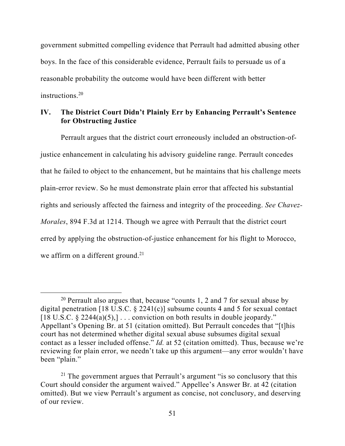government submitted compelling evidence that Perrault had admitted abusing other boys. In the face of this considerable evidence, Perrault fails to persuade us of a reasonable probability the outcome would have been different with better instructions.<sup>20</sup>

## **IV. The District Court Didn't Plainly Err by Enhancing Perrault's Sentence for Obstructing Justice**

Perrault argues that the district court erroneously included an obstruction-ofjustice enhancement in calculating his advisory guideline range. Perrault concedes that he failed to object to the enhancement, but he maintains that his challenge meets plain-error review. So he must demonstrate plain error that affected his substantial rights and seriously affected the fairness and integrity of the proceeding. *See Chavez-Morales*, 894 F.3d at 1214. Though we agree with Perrault that the district court erred by applying the obstruction-of-justice enhancement for his flight to Morocco, we affirm on a different ground.<sup>21</sup>

<sup>&</sup>lt;sup>20</sup> Perrault also argues that, because "counts 1, 2 and 7 for sexual abuse by digital penetration [18 U.S.C.  $\S$  2241(c)] subsume counts 4 and 5 for sexual contact [18 U.S.C.  $\S 2244(a)(5)$ ,]... conviction on both results in double jeopardy." Appellant's Opening Br. at 51 (citation omitted). But Perrault concedes that "[t]his court has not determined whether digital sexual abuse subsumes digital sexual contact as a lesser included offense." *Id.* at 52 (citation omitted). Thus, because we're reviewing for plain error, we needn't take up this argument—any error wouldn't have been "plain."

<sup>&</sup>lt;sup>21</sup> The government argues that Perrault's argument "is so conclusory that this Court should consider the argument waived." Appellee's Answer Br. at 42 (citation omitted). But we view Perrault's argument as concise, not conclusory, and deserving of our review.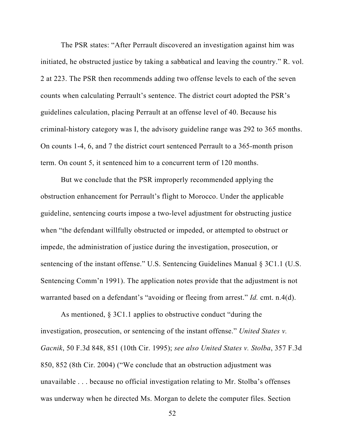The PSR states: "After Perrault discovered an investigation against him was initiated, he obstructed justice by taking a sabbatical and leaving the country." R. vol. 2 at 223. The PSR then recommends adding two offense levels to each of the seven counts when calculating Perrault's sentence. The district court adopted the PSR's guidelines calculation, placing Perrault at an offense level of 40. Because his criminal-history category was I, the advisory guideline range was 292 to 365 months. On counts 1-4, 6, and 7 the district court sentenced Perrault to a 365-month prison term. On count 5, it sentenced him to a concurrent term of 120 months.

But we conclude that the PSR improperly recommended applying the obstruction enhancement for Perrault's flight to Morocco. Under the applicable guideline, sentencing courts impose a two-level adjustment for obstructing justice when "the defendant willfully obstructed or impeded, or attempted to obstruct or impede, the administration of justice during the investigation, prosecution, or sentencing of the instant offense." U.S. Sentencing Guidelines Manual § 3C1.1 (U.S. Sentencing Comm'n 1991). The application notes provide that the adjustment is not warranted based on a defendant's "avoiding or fleeing from arrest." *Id.* cmt. n.4(d).

As mentioned, § 3C1.1 applies to obstructive conduct "during the investigation, prosecution, or sentencing of the instant offense." *United States v. Gacnik*, 50 F.3d 848, 851 (10th Cir. 1995); *see also United States v. Stolba*, 357 F.3d 850, 852 (8th Cir. 2004) ("We conclude that an obstruction adjustment was unavailable . . . because no official investigation relating to Mr. Stolba's offenses was underway when he directed Ms. Morgan to delete the computer files. Section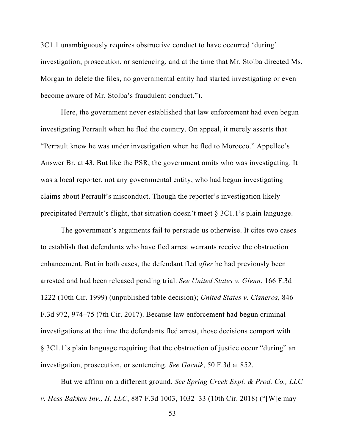3C1.1 unambiguously requires obstructive conduct to have occurred 'during' investigation, prosecution, or sentencing, and at the time that Mr. Stolba directed Ms. Morgan to delete the files, no governmental entity had started investigating or even become aware of Mr. Stolba's fraudulent conduct.").

Here, the government never established that law enforcement had even begun investigating Perrault when he fled the country. On appeal, it merely asserts that "Perrault knew he was under investigation when he fled to Morocco." Appellee's Answer Br. at 43. But like the PSR, the government omits who was investigating. It was a local reporter, not any governmental entity, who had begun investigating claims about Perrault's misconduct. Though the reporter's investigation likely precipitated Perrault's flight, that situation doesn't meet § 3C1.1's plain language.

The government's arguments fail to persuade us otherwise. It cites two cases to establish that defendants who have fled arrest warrants receive the obstruction enhancement. But in both cases, the defendant fled *after* he had previously been arrested and had been released pending trial. *See United States v. Glenn*, 166 F.3d 1222 (10th Cir. 1999) (unpublished table decision); *United States v. Cisneros*, 846 F.3d 972, 974–75 (7th Cir. 2017). Because law enforcement had begun criminal investigations at the time the defendants fled arrest, those decisions comport with § 3C1.1's plain language requiring that the obstruction of justice occur "during" an investigation, prosecution, or sentencing. *See Gacnik*, 50 F.3d at 852.

But we affirm on a different ground. *See Spring Creek Expl. & Prod. Co., LLC v. Hess Bakken Inv., II, LLC*, 887 F.3d 1003, 1032–33 (10th Cir. 2018) ("[W]e may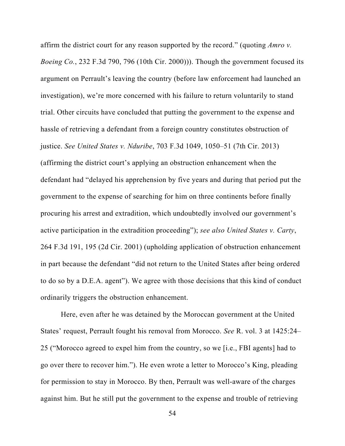affirm the district court for any reason supported by the record." (quoting *Amro v. Boeing Co.*, 232 F.3d 790, 796 (10th Cir. 2000))). Though the government focused its argument on Perrault's leaving the country (before law enforcement had launched an investigation), we're more concerned with his failure to return voluntarily to stand trial. Other circuits have concluded that putting the government to the expense and hassle of retrieving a defendant from a foreign country constitutes obstruction of justice. *See United States v. Nduribe*, 703 F.3d 1049, 1050–51 (7th Cir. 2013) (affirming the district court's applying an obstruction enhancement when the defendant had "delayed his apprehension by five years and during that period put the government to the expense of searching for him on three continents before finally procuring his arrest and extradition, which undoubtedly involved our government's active participation in the extradition proceeding"); *see also United States v. Carty*, 264 F.3d 191, 195 (2d Cir. 2001) (upholding application of obstruction enhancement in part because the defendant "did not return to the United States after being ordered to do so by a D.E.A. agent"). We agree with those decisions that this kind of conduct ordinarily triggers the obstruction enhancement.

Here, even after he was detained by the Moroccan government at the United States' request, Perrault fought his removal from Morocco. *See* R. vol. 3 at 1425:24– 25 ("Morocco agreed to expel him from the country, so we [i.e., FBI agents] had to go over there to recover him."). He even wrote a letter to Morocco's King, pleading for permission to stay in Morocco. By then, Perrault was well-aware of the charges against him. But he still put the government to the expense and trouble of retrieving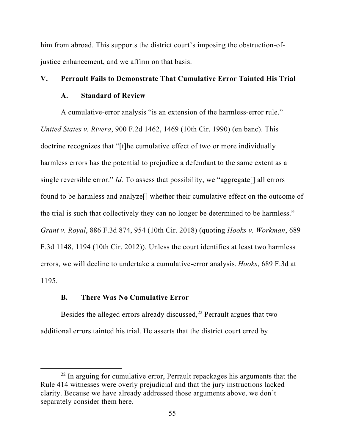him from abroad. This supports the district court's imposing the obstruction-ofjustice enhancement, and we affirm on that basis.

## **V. Perrault Fails to Demonstrate That Cumulative Error Tainted His Trial**

#### **A. Standard of Review**

A cumulative-error analysis "is an extension of the harmless-error rule." *United States v. Rivera*, 900 F.2d 1462, 1469 (10th Cir. 1990) (en banc). This doctrine recognizes that "[t]he cumulative effect of two or more individually harmless errors has the potential to prejudice a defendant to the same extent as a single reversible error." *Id.* To assess that possibility, we "aggregate[] all errors found to be harmless and analyze[] whether their cumulative effect on the outcome of the trial is such that collectively they can no longer be determined to be harmless." *Grant v. Royal*, 886 F.3d 874, 954 (10th Cir. 2018) (quoting *Hooks v. Workman*, 689 F.3d 1148, 1194 (10th Cir. 2012)). Unless the court identifies at least two harmless errors, we will decline to undertake a cumulative-error analysis. *Hooks*, 689 F.3d at 1195.

### **B. There Was No Cumulative Error**

Besides the alleged errors already discussed, $^{22}$  Perrault argues that two additional errors tainted his trial. He asserts that the district court erred by

 $22$  In arguing for cumulative error, Perrault repackages his arguments that the Rule 414 witnesses were overly prejudicial and that the jury instructions lacked clarity. Because we have already addressed those arguments above, we don't separately consider them here.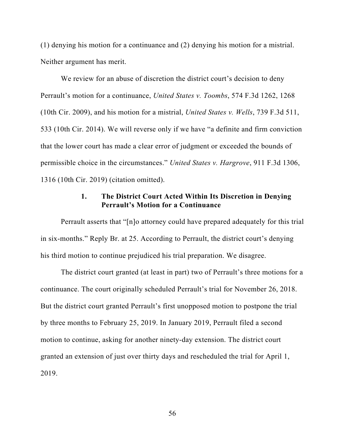(1) denying his motion for a continuance and (2) denying his motion for a mistrial. Neither argument has merit.

We review for an abuse of discretion the district court's decision to deny Perrault's motion for a continuance, *United States v. Toombs*, 574 F.3d 1262, 1268 (10th Cir. 2009), and his motion for a mistrial, *United States v. Wells*, 739 F.3d 511, 533 (10th Cir. 2014). We will reverse only if we have "a definite and firm conviction that the lower court has made a clear error of judgment or exceeded the bounds of permissible choice in the circumstances." *United States v. Hargrove*, 911 F.3d 1306, 1316 (10th Cir. 2019) (citation omitted).

### **1. The District Court Acted Within Its Discretion in Denying Perrault's Motion for a Continuance**

Perrault asserts that "[n]o attorney could have prepared adequately for this trial in six-months." Reply Br. at 25. According to Perrault, the district court's denying his third motion to continue prejudiced his trial preparation. We disagree.

The district court granted (at least in part) two of Perrault's three motions for a continuance. The court originally scheduled Perrault's trial for November 26, 2018. But the district court granted Perrault's first unopposed motion to postpone the trial by three months to February 25, 2019. In January 2019, Perrault filed a second motion to continue, asking for another ninety-day extension. The district court granted an extension of just over thirty days and rescheduled the trial for April 1, 2019.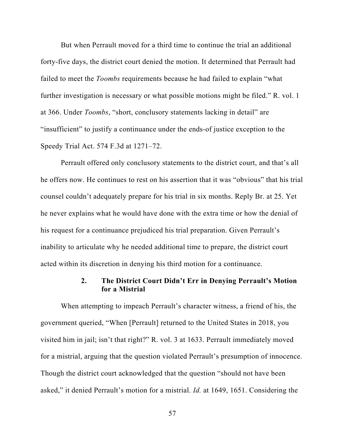But when Perrault moved for a third time to continue the trial an additional forty-five days, the district court denied the motion. It determined that Perrault had failed to meet the *Toombs* requirements because he had failed to explain "what further investigation is necessary or what possible motions might be filed." R. vol. 1 at 366. Under *Toombs*, "short, conclusory statements lacking in detail" are "insufficient" to justify a continuance under the ends-of justice exception to the Speedy Trial Act. 574 F.3d at 1271–72.

Perrault offered only conclusory statements to the district court, and that's all he offers now. He continues to rest on his assertion that it was "obvious" that his trial counsel couldn't adequately prepare for his trial in six months. Reply Br. at 25. Yet he never explains what he would have done with the extra time or how the denial of his request for a continuance prejudiced his trial preparation. Given Perrault's inability to articulate why he needed additional time to prepare, the district court acted within its discretion in denying his third motion for a continuance.

## **2. The District Court Didn't Err in Denying Perrault's Motion for a Mistrial**

When attempting to impeach Perrault's character witness, a friend of his, the government queried, "When [Perrault] returned to the United States in 2018, you visited him in jail; isn't that right?" R. vol. 3 at 1633. Perrault immediately moved for a mistrial, arguing that the question violated Perrault's presumption of innocence. Though the district court acknowledged that the question "should not have been asked," it denied Perrault's motion for a mistrial. *Id.* at 1649, 1651. Considering the